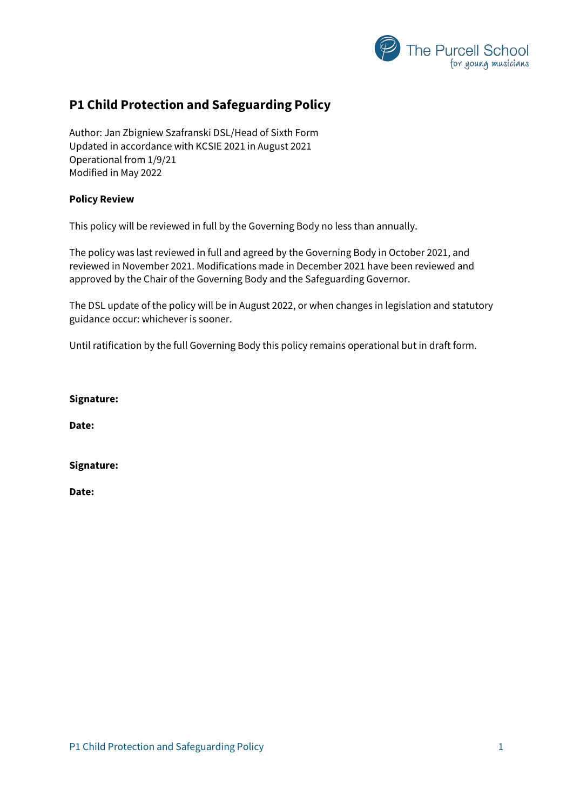

## **P1 Child Protection and Safeguarding Policy**

Author: Jan Zbigniew Szafranski DSL/Head of Sixth Form Updated in accordance with KCSIE 2021 in August 2021 Operational from 1/9/21 Modified in May 2022

#### **Policy Review**

This policy will be reviewed in full by the Governing Body no less than annually.

The policy was last reviewed in full and agreed by the Governing Body in October 2021, and reviewed in November 2021. Modifications made in December 2021 have been reviewed and approved by the Chair of the Governing Body and the Safeguarding Governor.

The DSL update of the policy will be in August 2022, or when changes in legislation and statutory guidance occur: whichever is sooner.

Until ratification by the full Governing Body this policy remains operational but in draft form.

**Signature:**

**Date:**

**Signature:**

**Date:**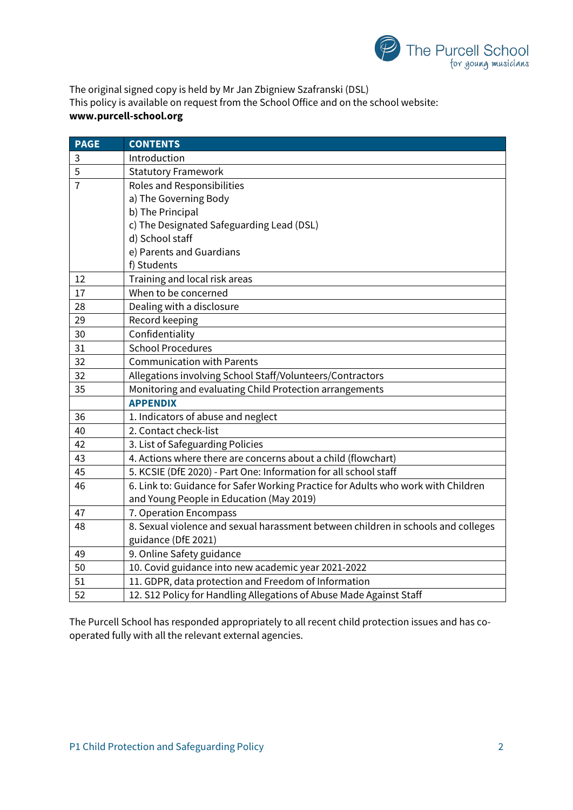

The original signed copy is held by Mr Jan Zbigniew Szafranski (DSL) This policy is available on request from the School Office and on the school website: **www.purcell-school.org**

| <b>PAGE</b>    | <b>CONTENTS</b>                                                                   |  |  |  |  |
|----------------|-----------------------------------------------------------------------------------|--|--|--|--|
| 3              | Introduction                                                                      |  |  |  |  |
| 5              | <b>Statutory Framework</b>                                                        |  |  |  |  |
| $\overline{7}$ | Roles and Responsibilities                                                        |  |  |  |  |
|                | a) The Governing Body                                                             |  |  |  |  |
|                | b) The Principal                                                                  |  |  |  |  |
|                | c) The Designated Safeguarding Lead (DSL)                                         |  |  |  |  |
|                | d) School staff                                                                   |  |  |  |  |
|                | e) Parents and Guardians                                                          |  |  |  |  |
|                | f) Students                                                                       |  |  |  |  |
| 12             | Training and local risk areas                                                     |  |  |  |  |
| 17             | When to be concerned                                                              |  |  |  |  |
| 28             | Dealing with a disclosure                                                         |  |  |  |  |
| 29             | Record keeping                                                                    |  |  |  |  |
| 30             | Confidentiality                                                                   |  |  |  |  |
| 31             | <b>School Procedures</b>                                                          |  |  |  |  |
| 32             | <b>Communication with Parents</b>                                                 |  |  |  |  |
| 32             | Allegations involving School Staff/Volunteers/Contractors                         |  |  |  |  |
| 35             | Monitoring and evaluating Child Protection arrangements                           |  |  |  |  |
|                | <b>APPENDIX</b>                                                                   |  |  |  |  |
| 36             | 1. Indicators of abuse and neglect                                                |  |  |  |  |
| 40             | 2. Contact check-list                                                             |  |  |  |  |
| 42             | 3. List of Safeguarding Policies                                                  |  |  |  |  |
| 43             | 4. Actions where there are concerns about a child (flowchart)                     |  |  |  |  |
| 45             | 5. KCSIE (DfE 2020) - Part One: Information for all school staff                  |  |  |  |  |
| 46             | 6. Link to: Guidance for Safer Working Practice for Adults who work with Children |  |  |  |  |
|                | and Young People in Education (May 2019)                                          |  |  |  |  |
| 47             | 7. Operation Encompass                                                            |  |  |  |  |
| 48             | 8. Sexual violence and sexual harassment between children in schools and colleges |  |  |  |  |
|                | guidance (DfE 2021)                                                               |  |  |  |  |
| 49             | 9. Online Safety guidance                                                         |  |  |  |  |
| 50             | 10. Covid guidance into new academic year 2021-2022                               |  |  |  |  |
| 51             | 11. GDPR, data protection and Freedom of Information                              |  |  |  |  |
| 52             | 12. S12 Policy for Handling Allegations of Abuse Made Against Staff               |  |  |  |  |

The Purcell School has responded appropriately to all recent child protection issues and has cooperated fully with all the relevant external agencies.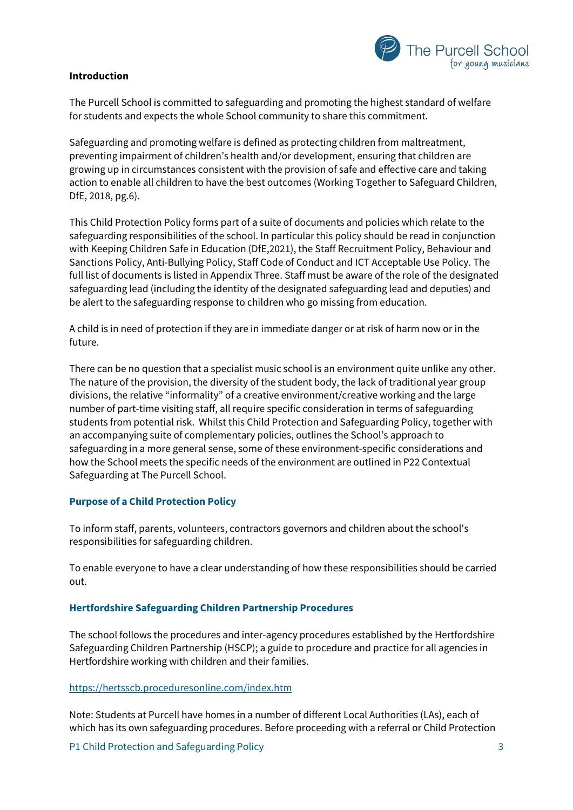

## **Introduction**

The Purcell School is committed to safeguarding and promoting the highest standard of welfare for students and expects the whole School community to share this commitment.

Safeguarding and promoting welfare is defined as protecting children from maltreatment, preventing impairment of children's health and/or development, ensuring that children are growing up in circumstances consistent with the provision of safe and effective care and taking action to enable all children to have the best outcomes (Working Together to Safeguard Children, DfE, 2018, pg.6).

This Child Protection Policy forms part of a suite of documents and policies which relate to the safeguarding responsibilities of the school. In particular this policy should be read in conjunction with Keeping Children Safe in Education (DfE,2021), the Staff Recruitment Policy, Behaviour and Sanctions Policy, Anti-Bullying Policy, Staff Code of Conduct and ICT Acceptable Use Policy. The full list of documents is listed in Appendix Three. Staff must be aware of the role of the designated safeguarding lead (including the identity of the designated safeguarding lead and deputies) and be alert to the safeguarding response to children who go missing from education.

A child is in need of protection if they are in immediate danger or at risk of harm now or in the future.

There can be no question that a specialist music school is an environment quite unlike any other. The nature of the provision, the diversity of the student body, the lack of traditional year group divisions, the relative "informality" of a creative environment/creative working and the large number of part-time visiting staff, all require specific consideration in terms of safeguarding students from potential risk. Whilst this Child Protection and Safeguarding Policy, together with an accompanying suite of complementary policies, outlines the School's approach to safeguarding in a more general sense, some of these environment-specific considerations and how the School meets the specific needs of the environment are outlined in P22 Contextual Safeguarding at The Purcell School.

## **Purpose of a Child Protection Policy**

To inform staff, parents, volunteers, contractors governors and children about the school's responsibilities for safeguarding children.

To enable everyone to have a clear understanding of how these responsibilities should be carried out.

#### **Hertfordshire Safeguarding Children Partnership Procedures**

The school follows the procedures and inter-agency procedures established by the Hertfordshire Safeguarding Children Partnership (HSCP); a guide to procedure and practice for all agencies in Hertfordshire working with children and their families.

#### <https://hertsscb.proceduresonline.com/index.htm>

Note: Students at Purcell have homes in a number of different Local Authorities (LAs), each of which has its own safeguarding procedures. Before proceeding with a referral or Child Protection

P1 Child Protection and Safeguarding Policy 3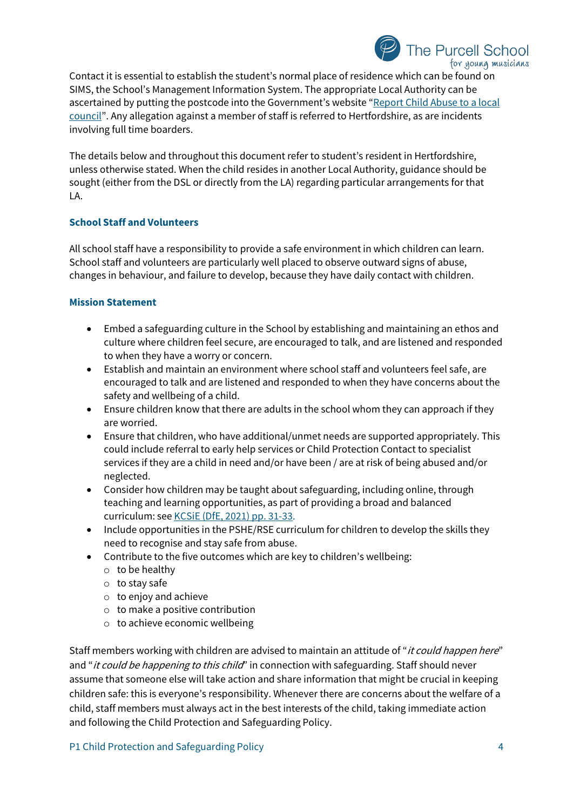## for young musicians Contact it is essential to establish the student's normal place of residence which can be found on SIMS, the School's Management Information System. The appropriate Local Authority can be ascertained by putting the postcode into the Government's website ["Report Child Abuse to a](https://www.gov.uk/report-child-abuse-to-local-council) local [council"](https://www.gov.uk/report-child-abuse-to-local-council). Any allegation against a member of staff is referred to Hertfordshire, as are incidents involving full time boarders.

The details below and throughout this document refer to student's resident in Hertfordshire, unless otherwise stated. When the child resides in another Local Authority, guidance should be sought (either from the DSL or directly from the LA) regarding particular arrangements for that LA.

## **School Staff and Volunteers**

All school staff have a responsibility to provide a safe environment in which children can learn. School staff and volunteers are particularly well placed to observe outward signs of abuse, changes in behaviour, and failure to develop, because they have daily contact with children.

## **Mission Statement**

- Embed a safeguarding culture in the School by establishing and maintaining an ethos and culture where children feel secure, are encouraged to talk, and are listened and responded to when they have a worry or concern.
- Establish and maintain an environment where school staff and volunteers feel safe, are encouraged to talk and are listened and responded to when they have concerns about the safety and wellbeing of a child.
- Ensure children know that there are adults in the school whom they can approach if they are worried.
- Ensure that children, who have additional/unmet needs are supported appropriately. This could include referral to early help services or Child Protection Contact to specialist services if they are a child in need and/or have been / are at risk of being abused and/or neglected.
- Consider how children may be taught about safeguarding, including online, through teaching and learning opportunities, as part of providing a broad and balanced curriculum: see KCSiE [\(DfE, 2021\) pp. 31-33.](https://assets.publishing.service.gov.uk/government/uploads/system/uploads/attachment_data/file/1021914/KCSIE_2021_September_guidance.pdf)
- Include opportunities in the PSHE/RSE curriculum for children to develop the skills they need to recognise and stay safe from abuse.
- Contribute to the five outcomes which are key to children's wellbeing:
	- $\circ$  to be healthy
	- o to stay safe
	- $\circ$  to enjoy and achieve
	- o to make a positive contribution
	- o to achieve economic wellbeing

Staff members working with children are advised to maintain an attitude of "*it could happen here*" and "*it could be happening to this child*" in connection with safeguarding. Staff should never assume that someone else will take action and share information that might be crucial in keeping children safe: this is everyone's responsibility. Whenever there are concerns about the welfare of a child, staff members must always act in the best interests of the child, taking immediate action and following the Child Protection and Safeguarding Policy.

The Purcell School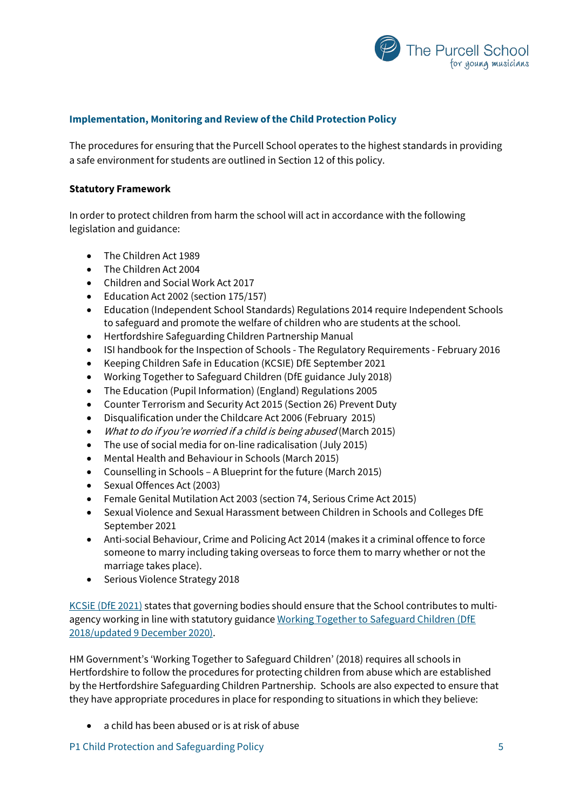

## **Implementation, Monitoring and Review of the Child Protection Policy**

The procedures for ensuring that the Purcell School operates to the highest standards in providing a safe environment for students are outlined in Section 12 of this policy.

#### **Statutory Framework**

In order to protect children from harm the school will act in accordance with the following legislation and guidance:

- The Children Act 1989
- The Children Act 2004
- Children and Social Work Act 2017
- Education Act 2002 (section 175/157)
- Education (Independent School Standards) Regulations 2014 require Independent Schools to safeguard and promote the welfare of children who are students at the school.
- Hertfordshire Safeguarding Children Partnership Manual
- ISI handbook for the Inspection of Schools The Regulatory Requirements February 2016
- Keeping Children Safe in Education (KCSIE) DfE September 2021
- Working Together to Safeguard Children (DfE guidance July 2018)
- The Education (Pupil Information) (England) Regulations 2005
- Counter Terrorism and Security Act 2015 (Section 26) Prevent Duty
- Disqualification under the Childcare Act 2006 (February 2015)
- What to do if you're worried if a child is being abused (March 2015)
- The use of social media for on-line radicalisation (July 2015)
- Mental Health and Behaviour in Schools (March 2015)
- Counselling in Schools A Blueprint for the future (March 2015)
- Sexual Offences Act (2003)
- Female Genital Mutilation Act 2003 (section 74, Serious Crime Act 2015)
- Sexual Violence and Sexual Harassment between Children in Schools and Colleges DfE September 2021
- Anti-social Behaviour, Crime and Policing Act 2014 (makes it a criminal offence to force someone to marry including taking overseas to force them to marry whether or not the marriage takes place).
- Serious Violence Strategy 2018

KCSIE (DfE 2021) states that governing bodies should ensure that the School contributes to multiagency working in line with statutory guidance Working Together to Safeguard Children (DfE [2018/updated 9 December 2020\).](https://www.gov.uk/government/publications/working-together-to-safeguard-children--2)

HM Government's 'Working Together to Safeguard Children' (2018) requires all schools in Hertfordshire to follow the procedures for protecting children from abuse which are established by the Hertfordshire Safeguarding Children Partnership. Schools are also expected to ensure that they have appropriate procedures in place for responding to situations in which they believe:

• a child has been abused or is at risk of abuse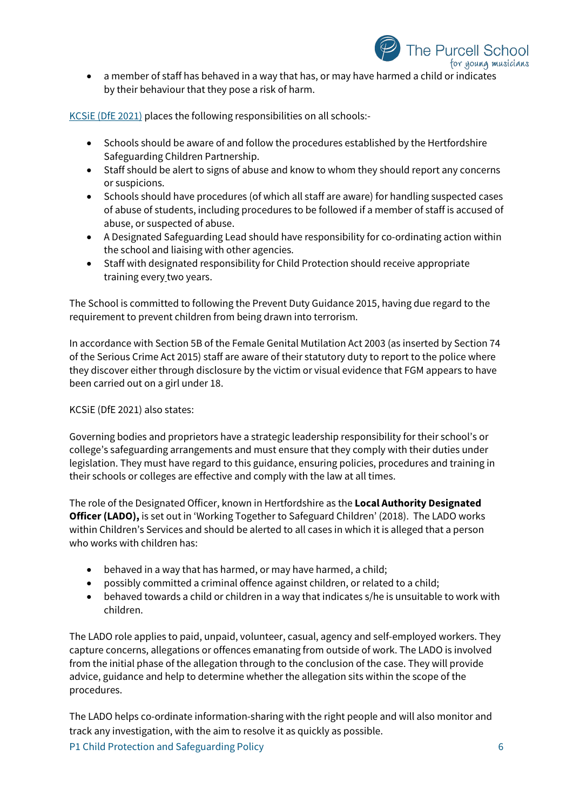

• a member of staff has behaved in a way that has, or may have harmed a child or indicates by their behaviour that they pose a risk of harm.

KCSiE [\(DfE 2021\)](https://assets.publishing.service.gov.uk/government/uploads/system/uploads/attachment_data/file/1021914/KCSIE_2021_September_guidance.pdf) places the following responsibilities on all schools:-

- Schools should be aware of and follow the procedures established by the Hertfordshire Safeguarding Children Partnership.
- Staff should be alert to signs of abuse and know to whom they should report any concerns or suspicions.
- Schools should have procedures (of which all staff are aware) for handling suspected cases of abuse of students, including procedures to be followed if a member of staff is accused of abuse, or suspected of abuse.
- A Designated Safeguarding Lead should have responsibility for co-ordinating action within the school and liaising with other agencies.
- Staff with designated responsibility for Child Protection should receive appropriate training every two years.

The School is committed to following the Prevent Duty Guidance 2015, having due regard to the requirement to prevent children from being drawn into terrorism.

In accordance with Section 5B of the Female Genital Mutilation Act 2003 (as inserted by Section 74 of the Serious Crime Act 2015) staff are aware of their statutory duty to report to the police where they discover either through disclosure by the victim or visual evidence that FGM appears to have been carried out on a girl under 18.

KCSiE (DfE 2021) also states:

Governing bodies and proprietors have a strategic leadership responsibility for their school's or college's safeguarding arrangements and must ensure that they comply with their duties under legislation. They must have regard to this guidance, ensuring policies, procedures and training in their schools or colleges are effective and comply with the law at all times.

The role of the Designated Officer, known in Hertfordshire as the **Local Authority Designated Officer (LADO),** is set out in 'Working Together to Safeguard Children' (2018). The LADO works within Children's Services and should be alerted to all cases in which it is alleged that a person who works with children has:

- behaved in a way that has harmed, or may have harmed, a child;
- possibly committed a criminal offence against children, or related to a child;
- behaved towards a child or children in a way that indicates s/he is unsuitable to work with children.

The LADO role applies to paid, unpaid, volunteer, casual, agency and self-employed workers. They capture concerns, allegations or offences emanating from outside of work. The LADO is involved from the initial phase of the allegation through to the conclusion of the case. They will provide advice, guidance and help to determine whether the allegation sits within the scope of the procedures.

P1 Child Protection and Safeguarding Policy 6 The LADO helps co-ordinate information-sharing with the right people and will also monitor and track any investigation, with the aim to resolve it as quickly as possible.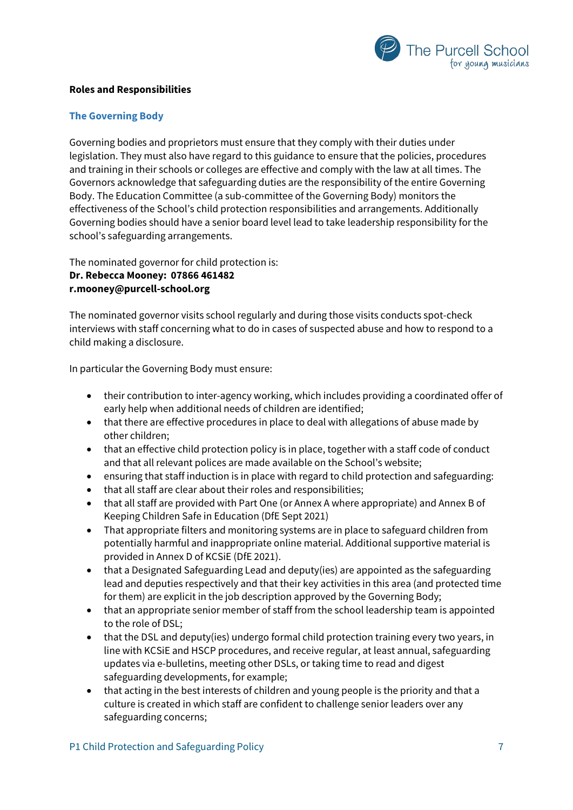

#### **Roles and Responsibilities**

## **The Governing Body**

Governing bodies and proprietors must ensure that they comply with their duties under legislation. They must also have regard to this guidance to ensure that the policies, procedures and training in their schools or colleges are effective and comply with the law at all times. The Governors acknowledge that safeguarding duties are the responsibility of the entire Governing Body. The Education Committee (a sub-committee of the Governing Body) monitors the effectiveness of the School's child protection responsibilities and arrangements. Additionally Governing bodies should have a senior board level lead to take leadership responsibility for the school's safeguarding arrangements.

The nominated governor for child protection is: **Dr. Rebecca Mooney: 07866 461482 r.mooney@purcell-school.org**

The nominated governor visits school regularly and during those visits conducts spot-check interviews with staff concerning what to do in cases of suspected abuse and how to respond to a child making a disclosure.

In particular the Governing Body must ensure:

- their contribution to inter-agency working, which includes providing a coordinated offer of early help when additional needs of children are identified;
- that there are effective procedures in place to deal with allegations of abuse made by other children;
- that an effective child protection policy is in place, together with a staff code of conduct and that all relevant polices are made available on the School's website;
- ensuring that staff induction is in place with regard to child protection and safeguarding:
- that all staff are clear about their roles and responsibilities;
- that all staff are provided with Part One (or Annex A where appropriate) and Annex B of Keeping Children Safe in Education (DfE Sept 2021)
- That appropriate filters and monitoring systems are in place to safeguard children from potentially harmful and inappropriate online material. Additional supportive material is provided in Annex D of KCSiE (DfE 2021).
- that a Designated Safeguarding Lead and deputy(ies) are appointed as the safeguarding lead and deputies respectively and that their key activities in this area (and protected time for them) are explicit in the job description approved by the Governing Body;
- that an appropriate senior member of staff from the school leadership team is appointed to the role of DSL;
- that the DSL and deputy(ies) undergo formal child protection training every two years, in line with KCSiE and HSCP procedures, and receive regular, at least annual, safeguarding updates via e-bulletins, meeting other DSLs, or taking time to read and digest safeguarding developments, for example;
- that acting in the best interests of children and young people is the priority and that a culture is created in which staff are confident to challenge senior leaders over any safeguarding concerns;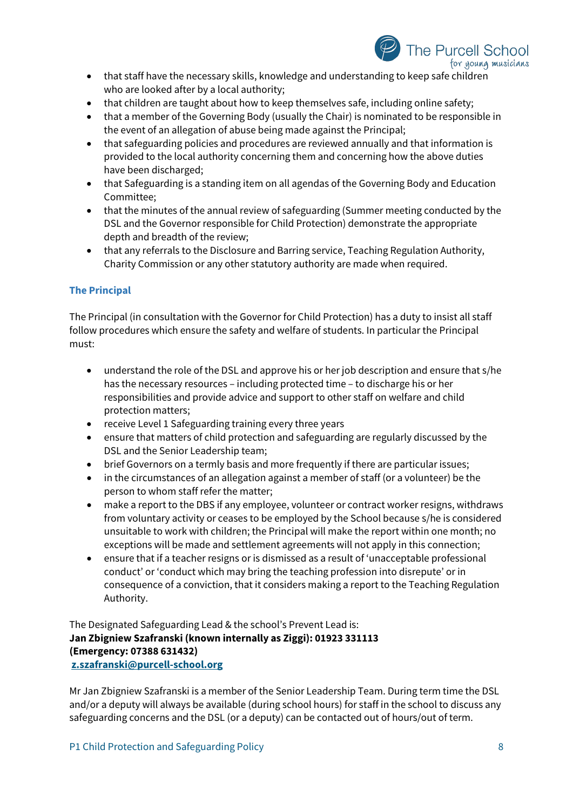

- that staff have the necessary skills, knowledge and understanding to keep safe children who are looked after by a local authority;
- that children are taught about how to keep themselves safe, including online safety;
- that a member of the Governing Body (usually the Chair) is nominated to be responsible in the event of an allegation of abuse being made against the Principal;
- that safeguarding policies and procedures are reviewed annually and that information is provided to the local authority concerning them and concerning how the above duties have been discharged;
- that Safeguarding is a standing item on all agendas of the Governing Body and Education Committee;
- that the minutes of the annual review of safeguarding (Summer meeting conducted by the DSL and the Governor responsible for Child Protection) demonstrate the appropriate depth and breadth of the review;
- that any referrals to the Disclosure and Barring service, Teaching Regulation Authority, Charity Commission or any other statutory authority are made when required.

## **The Principal**

The Principal (in consultation with the Governor for Child Protection) has a duty to insist all staff follow procedures which ensure the safety and welfare of students. In particular the Principal must:

- understand the role of the DSL and approve his or her job description and ensure that s/he has the necessary resources – including protected time – to discharge his or her responsibilities and provide advice and support to other staff on welfare and child protection matters;
- receive Level 1 Safeguarding training every three years
- ensure that matters of child protection and safeguarding are regularly discussed by the DSL and the Senior Leadership team;
- brief Governors on a termly basis and more frequently if there are particular issues;
- in the circumstances of an allegation against a member of staff (or a volunteer) be the person to whom staff refer the matter;
- make a report to the DBS if any employee, volunteer or contract worker resigns, withdraws from voluntary activity or ceases to be employed by the School because s/he is considered unsuitable to work with children; the Principal will make the report within one month; no exceptions will be made and settlement agreements will not apply in this connection;
- ensure that if a teacher resigns or is dismissed as a result of 'unacceptable professional conduct' or 'conduct which may bring the teaching profession into disrepute' or in consequence of a conviction, that it considers making a report to the Teaching Regulation Authority.

The Designated Safeguarding Lead & the school's Prevent Lead is: **Jan Zbigniew Szafranski (known internally as Ziggi): 01923 331113 (Emergency: 07388 631432) [z.szafranski@purcell-school.org](mailto:z.szafranski@purcell-school.org)**

Mr Jan Zbigniew Szafranski is a member of the Senior Leadership Team. During term time the DSL and/or a deputy will always be available (during school hours) for staff in the school to discuss any safeguarding concerns and the DSL (or a deputy) can be contacted out of hours/out of term.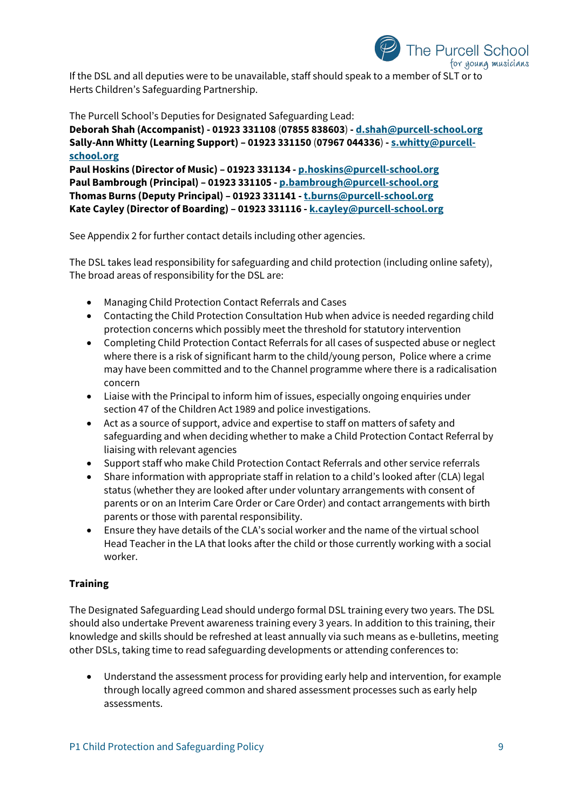

If the DSL and all deputies were to be unavailable, staff should speak to a member of SLT or to Herts Children's Safeguarding Partnership.

The Purcell School's Deputies for Designated Safeguarding Lead:

**Deborah Shah (Accompanist) - 01923 331108** (**07855 838603**) **- [d.shah@purcell-school.org](mailto:d.shah@purcell-school.org) Sally-Ann Whitty (Learning Support) – 01923 331150** (**07967 044336**) **- [s.whitty@purcell](mailto:s.whitty@purcell-school.org)[school.org](mailto:s.whitty@purcell-school.org)**

**Paul Hoskins (Director of Music) – 01923 331134 - [p.hoskins@purcell-school.org](mailto:p.hoskins@purcell-school.org) Paul Bambrough (Principal) – 01923 331105 - [p.bambrough@purcell-school.org](mailto:p.bambrough@purcell-school.org) Thomas Burns (Deputy Principal) – 01923 331141 -[t.burns@purcell-school.org](mailto:t.burns@purcell-school.org) Kate Cayley (Director of Boarding) – 01923 331116 - [k.cayley@purcell-school.org](mailto:k.cayley@purcell-school.org)**

See Appendix 2 for further contact details including other agencies.

The DSL takes lead responsibility for safeguarding and child protection (including online safety), The broad areas of responsibility for the DSL are:

- Managing Child Protection Contact Referrals and Cases
- Contacting the Child Protection Consultation Hub when advice is needed regarding child protection concerns which possibly meet the threshold for statutory intervention
- Completing Child Protection Contact Referrals for all cases of suspected abuse or neglect where there is a risk of significant harm to the child/young person, Police where a crime may have been committed and to the Channel programme where there is a radicalisation concern
- Liaise with the Principal to inform him of issues, especially ongoing enquiries under section 47 of the Children Act 1989 and police investigations.
- Act as a source of support, advice and expertise to staff on matters of safety and safeguarding and when deciding whether to make a Child Protection Contact Referral by liaising with relevant agencies
- Support staff who make Child Protection Contact Referrals and other service referrals
- Share information with appropriate staff in relation to a child's looked after (CLA) legal status (whether they are looked after under voluntary arrangements with consent of parents or on an Interim Care Order or Care Order) and contact arrangements with birth parents or those with parental responsibility.
- Ensure they have details of the CLA's social worker and the name of the virtual school Head Teacher in the LA that looks after the child or those currently working with a social worker.

## **Training**

The Designated Safeguarding Lead should undergo formal DSL training every two years. The DSL should also undertake Prevent awareness training every 3 years. In addition to this training, their knowledge and skills should be refreshed at least annually via such means as e-bulletins, meeting other DSLs, taking time to read safeguarding developments or attending conferences to:

• Understand the assessment process for providing early help and intervention, for example through locally agreed common and shared assessment processes such as early help assessments.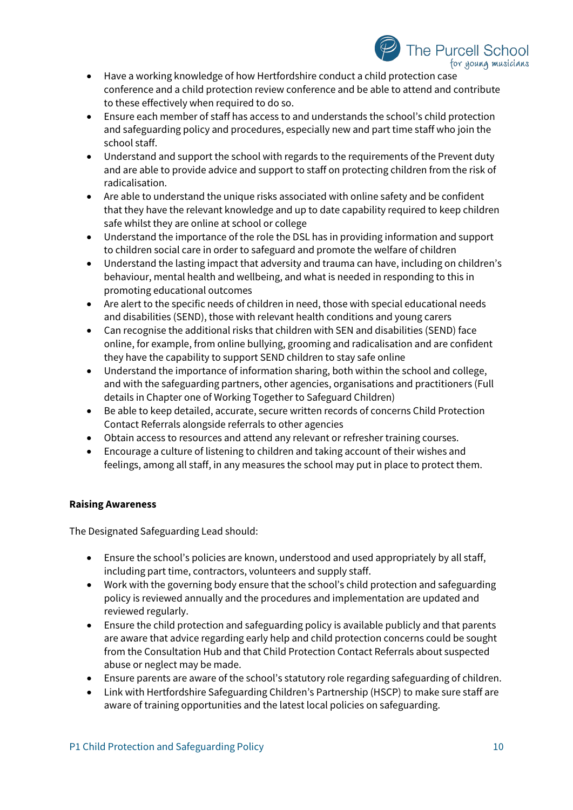

- Have a working knowledge of how Hertfordshire conduct a child protection case conference and a child protection review conference and be able to attend and contribute to these effectively when required to do so.
- Ensure each member of staff has access to and understands the school's child protection and safeguarding policy and procedures, especially new and part time staff who join the school staff.
- Understand and support the school with regards to the requirements of the Prevent duty and are able to provide advice and support to staff on protecting children from the risk of radicalisation.
- Are able to understand the unique risks associated with online safety and be confident that they have the relevant knowledge and up to date capability required to keep children safe whilst they are online at school or college
- Understand the importance of the role the DSL has in providing information and support to children social care in order to safeguard and promote the welfare of children
- Understand the lasting impact that adversity and trauma can have, including on children's behaviour, mental health and wellbeing, and what is needed in responding to this in promoting educational outcomes
- Are alert to the specific needs of children in need, those with special educational needs and disabilities (SEND), those with relevant health conditions and young carers
- Can recognise the additional risks that children with SEN and disabilities (SEND) face online, for example, from online bullying, grooming and radicalisation and are confident they have the capability to support SEND children to stay safe online
- Understand the importance of information sharing, both within the school and college, and with the safeguarding partners, other agencies, organisations and practitioners (Full details in Chapter one of Working Together to Safeguard Children)
- Be able to keep detailed, accurate, secure written records of concerns Child Protection Contact Referrals alongside referrals to other agencies
- Obtain access to resources and attend any relevant or refresher training courses.
- Encourage a culture of listening to children and taking account of their wishes and feelings, among all staff, in any measures the school may put in place to protect them.

## **Raising Awareness**

The Designated Safeguarding Lead should:

- Ensure the school's policies are known, understood and used appropriately by all staff, including part time, contractors, volunteers and supply staff.
- Work with the governing body ensure that the school's child protection and safeguarding policy is reviewed annually and the procedures and implementation are updated and reviewed regularly.
- Ensure the child protection and safeguarding policy is available publicly and that parents are aware that advice regarding early help and child protection concerns could be sought from the Consultation Hub and that Child Protection Contact Referrals about suspected abuse or neglect may be made.
- Ensure parents are aware of the school's statutory role regarding safeguarding of children.
- Link with Hertfordshire Safeguarding Children's Partnership (HSCP) to make sure staff are aware of training opportunities and the latest local policies on safeguarding.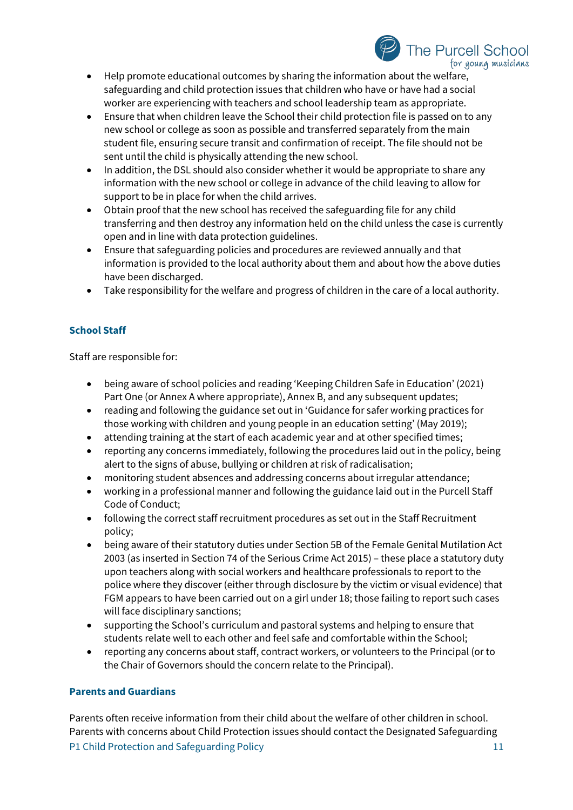

- Help promote educational outcomes by sharing the information about the welfare, safeguarding and child protection issues that children who have or have had a social worker are experiencing with teachers and school leadership team as appropriate.
- Ensure that when children leave the School their child protection file is passed on to any new school or college as soon as possible and transferred separately from the main student file, ensuring secure transit and confirmation of receipt. The file should not be sent until the child is physically attending the new school.
- In addition, the DSL should also consider whether it would be appropriate to share any information with the new school or college in advance of the child leaving to allow for support to be in place for when the child arrives.
- Obtain proof that the new school has received the safeguarding file for any child transferring and then destroy any information held on the child unless the case is currently open and in line with data protection guidelines.
- Ensure that safeguarding policies and procedures are reviewed annually and that information is provided to the local authority about them and about how the above duties have been discharged.
- Take responsibility for the welfare and progress of children in the care of a local authority.

## **School Staff**

Staff are responsible for:

- being aware of school policies and reading 'Keeping Children Safe in Education' (2021) Part One (or Annex A where appropriate), Annex B, and any subsequent updates;
- reading and following the guidance set out in 'Guidance for safer working practices for those working with children and young people in an education setting' (May 2019);
- attending training at the start of each academic year and at other specified times;
- reporting any concerns immediately, following the procedures laid out in the policy, being alert to the signs of abuse, bullying or children at risk of radicalisation;
- monitoring student absences and addressing concerns about irregular attendance;
- working in a professional manner and following the guidance laid out in the Purcell Staff Code of Conduct;
- following the correct staff recruitment procedures as set out in the Staff Recruitment policy;
- being aware of their statutory duties under Section 5B of the Female Genital Mutilation Act 2003 (as inserted in Section 74 of the Serious Crime Act 2015) – these place a statutory duty upon teachers along with social workers and healthcare professionals to report to the police where they discover (either through disclosure by the victim or visual evidence) that FGM appears to have been carried out on a girl under 18; those failing to report such cases will face disciplinary sanctions;
- supporting the School's curriculum and pastoral systems and helping to ensure that students relate well to each other and feel safe and comfortable within the School;
- reporting any concerns about staff, contract workers, or volunteers to the Principal (or to the Chair of Governors should the concern relate to the Principal).

## **Parents and Guardians**

P1 Child Protection and Safeguarding Policy 11 and 200 minutes are the 11 and 2012 11 Parents often receive information from their child about the welfare of other children in school. Parents with concerns about Child Protection issues should contact the Designated Safeguarding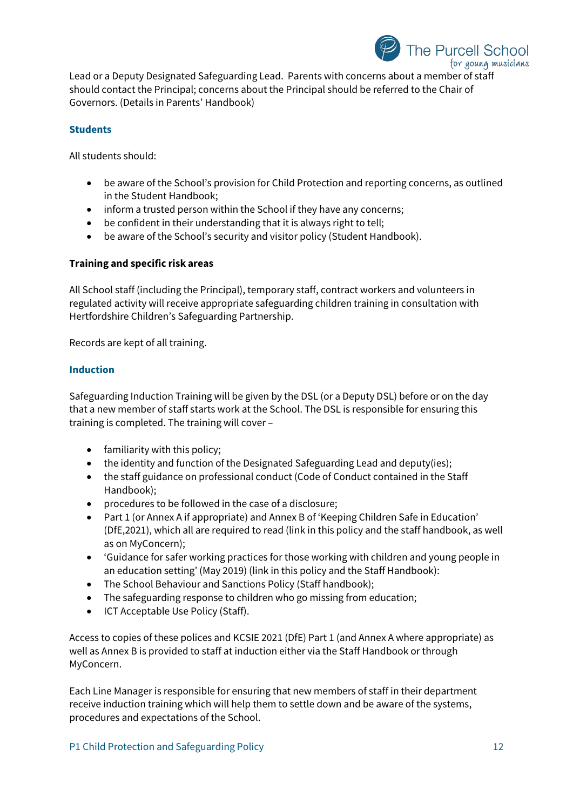

Lead or a Deputy Designated Safeguarding Lead. Parents with concerns about a member of staff should contact the Principal; concerns about the Principal should be referred to the Chair of Governors. (Details in Parents' Handbook)

## **Students**

All students should:

- be aware of the School's provision for Child Protection and reporting concerns, as outlined in the Student Handbook;
- inform a trusted person within the School if they have any concerns;
- be confident in their understanding that it is always right to tell;
- be aware of the School's security and visitor policy (Student Handbook).

## **Training and specific risk areas**

All School staff (including the Principal), temporary staff, contract workers and volunteers in regulated activity will receive appropriate safeguarding children training in consultation with Hertfordshire Children's Safeguarding Partnership.

Records are kept of all training.

## **Induction**

Safeguarding Induction Training will be given by the DSL (or a Deputy DSL) before or on the day that a new member of staff starts work at the School. The DSL is responsible for ensuring this training is completed. The training will cover –

- familiarity with this policy;
- the identity and function of the Designated Safeguarding Lead and deputy(ies);
- the staff guidance on professional conduct (Code of Conduct contained in the Staff Handbook);
- procedures to be followed in the case of a disclosure;
- Part 1 (or Annex A if appropriate) and Annex B of 'Keeping Children Safe in Education' (DfE,2021), which all are required to read (link in this policy and the staff handbook, as well as on MyConcern);
- 'Guidance for safer working practices for those working with children and young people in an education setting' (May 2019) (link in this policy and the Staff Handbook):
- The School Behaviour and Sanctions Policy (Staff handbook);
- The safeguarding response to children who go missing from education;
- ICT Acceptable Use Policy (Staff).

Access to copies of these polices and KCSIE 2021 (DfE) Part 1 (and Annex A where appropriate) as well as Annex B is provided to staff at induction either via the Staff Handbook or through MyConcern.

Each Line Manager is responsible for ensuring that new members of staff in their department receive induction training which will help them to settle down and be aware of the systems, procedures and expectations of the School.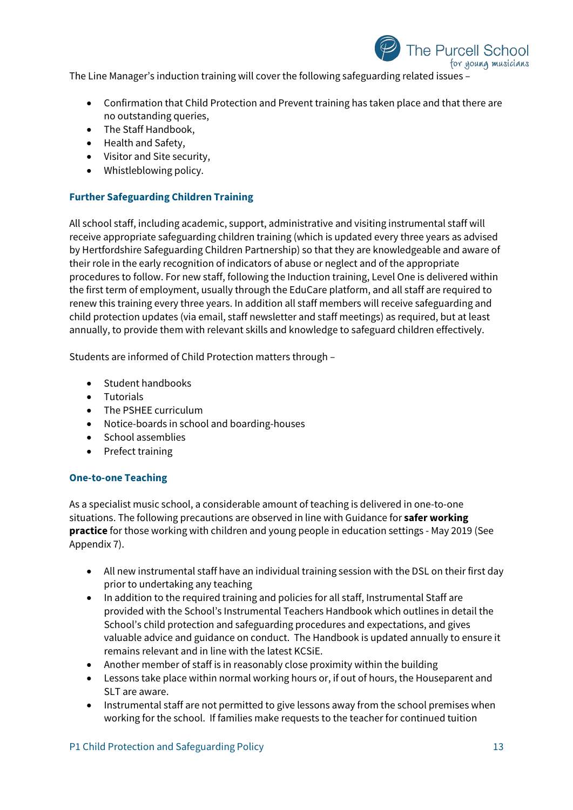

- Confirmation that Child Protection and Prevent training has taken place and that there are no outstanding queries,
- The Staff Handbook,
- Health and Safety,
- Visitor and Site security,
- Whistleblowing policy.

## **Further Safeguarding Children Training**

All school staff, including academic, support, administrative and visiting instrumental staff will receive appropriate safeguarding children training (which is updated every three years as advised by Hertfordshire Safeguarding Children Partnership) so that they are knowledgeable and aware of their role in the early recognition of indicators of abuse or neglect and of the appropriate procedures to follow. For new staff, following the Induction training, Level One is delivered within the first term of employment, usually through the EduCare platform, and all staff are required to renew this training every three years. In addition all staff members will receive safeguarding and child protection updates (via email, staff newsletter and staff meetings) as required, but at least annually, to provide them with relevant skills and knowledge to safeguard children effectively.

Students are informed of Child Protection matters through –

- Student handbooks
- Tutorials
- The PSHEE curriculum
- Notice-boards in school and boarding-houses
- School assemblies
- Prefect training

## **One-to-one Teaching**

As a specialist music school, a considerable amount of teaching is delivered in one-to-one situations. The following precautions are observed in line with Guidance for **safer working practice** for those working with children and young people in education settings - May 2019 (See Appendix 7).

- All new instrumental staff have an individual training session with the DSL on their first day prior to undertaking any teaching
- In addition to the required training and policies for all staff, Instrumental Staff are provided with the School's Instrumental Teachers Handbook which outlines in detail the School's child protection and safeguarding procedures and expectations, and gives valuable advice and guidance on conduct. The Handbook is updated annually to ensure it remains relevant and in line with the latest KCSiE.
- Another member of staff is in reasonably close proximity within the building
- Lessons take place within normal working hours or, if out of hours, the Houseparent and SLT are aware.
- Instrumental staff are not permitted to give lessons away from the school premises when working for the school. If families make requests to the teacher for continued tuition

The Purcell School

for young musicians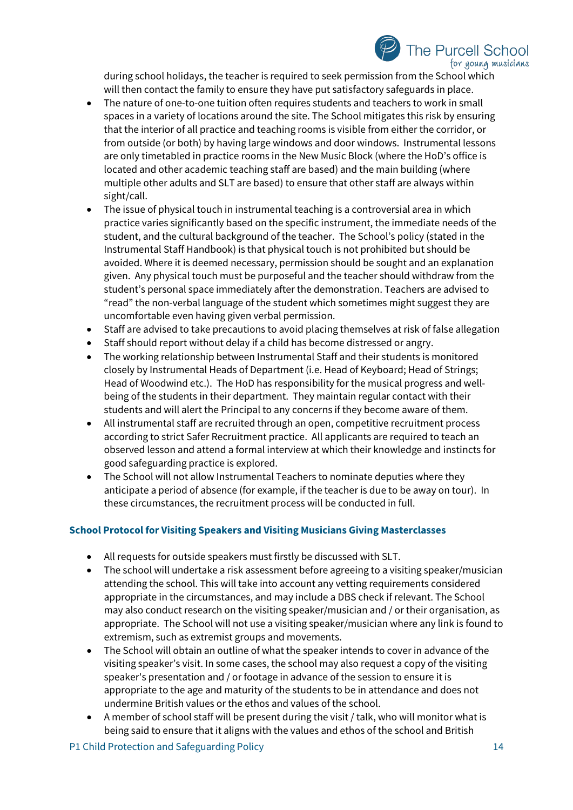

during school holidays, the teacher is required to seek permission from the School which will then contact the family to ensure they have put satisfactory safeguards in place.

- The nature of one-to-one tuition often requires students and teachers to work in small spaces in a variety of locations around the site. The School mitigates this risk by ensuring that the interior of all practice and teaching rooms is visible from either the corridor, or from outside (or both) by having large windows and door windows. Instrumental lessons are only timetabled in practice rooms in the New Music Block (where the HoD's office is located and other academic teaching staff are based) and the main building (where multiple other adults and SLT are based) to ensure that other staff are always within sight/call.
- The issue of physical touch in instrumental teaching is a controversial area in which practice varies significantly based on the specific instrument, the immediate needs of the student, and the cultural background of the teacher. The School's policy (stated in the Instrumental Staff Handbook) is that physical touch is not prohibited but should be avoided. Where it is deemed necessary, permission should be sought and an explanation given. Any physical touch must be purposeful and the teacher should withdraw from the student's personal space immediately after the demonstration. Teachers are advised to "read" the non-verbal language of the student which sometimes might suggest they are uncomfortable even having given verbal permission.
- Staff are advised to take precautions to avoid placing themselves at risk of false allegation
- Staff should report without delay if a child has become distressed or angry.
- The working relationship between Instrumental Staff and their students is monitored closely by Instrumental Heads of Department (i.e. Head of Keyboard; Head of Strings; Head of Woodwind etc.). The HoD has responsibility for the musical progress and wellbeing of the students in their department. They maintain regular contact with their students and will alert the Principal to any concerns if they become aware of them.
- All instrumental staff are recruited through an open, competitive recruitment process according to strict Safer Recruitment practice. All applicants are required to teach an observed lesson and attend a formal interview at which their knowledge and instincts for good safeguarding practice is explored.
- The School will not allow Instrumental Teachers to nominate deputies where they anticipate a period of absence (for example, if the teacher is due to be away on tour). In these circumstances, the recruitment process will be conducted in full.

## **School Protocol for Visiting Speakers and Visiting Musicians Giving Masterclasses**

- All requests for outside speakers must firstly be discussed with SLT.
- The school will undertake a risk assessment before agreeing to a visiting speaker/musician attending the school. This will take into account any vetting requirements considered appropriate in the circumstances, and may include a DBS check if relevant. The School may also conduct research on the visiting speaker/musician and / or their organisation, as appropriate. The School will not use a visiting speaker/musician where any link is found to extremism, such as extremist groups and movements.
- The School will obtain an outline of what the speaker intends to cover in advance of the visiting speaker's visit. In some cases, the school may also request a copy of the visiting speaker's presentation and / or footage in advance of the session to ensure it is appropriate to the age and maturity of the students to be in attendance and does not undermine British values or the ethos and values of the school.
- A member of school staff will be present during the visit / talk, who will monitor what is being said to ensure that it aligns with the values and ethos of the school and British

P1 Child Protection and Safeguarding Policy 14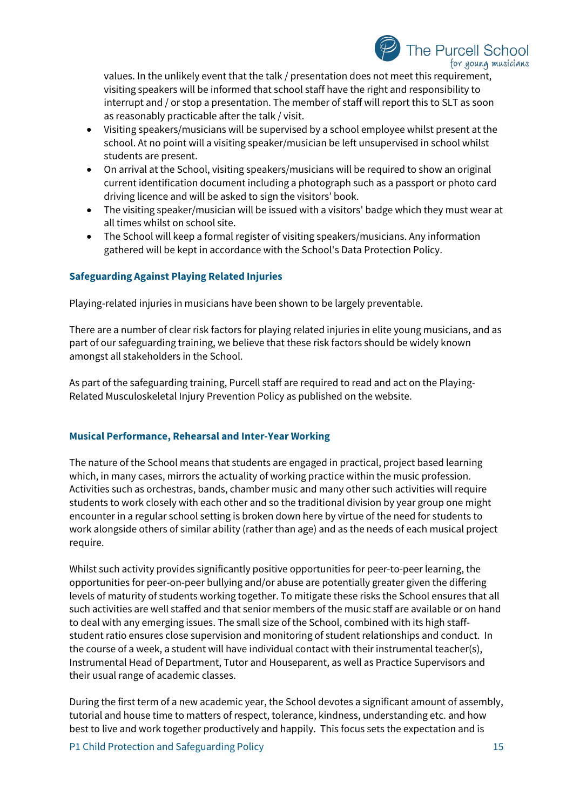

values. In the unlikely event that the talk / presentation does not meet this requirement, visiting speakers will be informed that school staff have the right and responsibility to interrupt and / or stop a presentation. The member of staff will report this to SLT as soon as reasonably practicable after the talk / visit.

- Visiting speakers/musicians will be supervised by a school employee whilst present at the school. At no point will a visiting speaker/musician be left unsupervised in school whilst students are present.
- On arrival at the School, visiting speakers/musicians will be required to show an original current identification document including a photograph such as a passport or photo card driving licence and will be asked to sign the visitors' book.
- The visiting speaker/musician will be issued with a visitors' badge which they must wear at all times whilst on school site.
- The School will keep a formal register of visiting speakers/musicians. Any information gathered will be kept in accordance with the School's Data Protection Policy.

## **Safeguarding Against Playing Related Injuries**

Playing-related injuries in musicians have been shown to be largely preventable.

There are a number of clear risk factors for playing related injuries in elite young musicians, and as part of our safeguarding training, we believe that these risk factors should be widely known amongst all stakeholders in the School.

As part of the safeguarding training, Purcell staff are required to read and act on the Playing-Related Musculoskeletal Injury Prevention Policy as published on the website.

#### **Musical Performance, Rehearsal and Inter-Year Working**

The nature of the School means that students are engaged in practical, project based learning which, in many cases, mirrors the actuality of working practice within the music profession. Activities such as orchestras, bands, chamber music and many other such activities will require students to work closely with each other and so the traditional division by year group one might encounter in a regular school setting is broken down here by virtue of the need for students to work alongside others of similar ability (rather than age) and as the needs of each musical project require.

Whilst such activity provides significantly positive opportunities for peer-to-peer learning, the opportunities for peer-on-peer bullying and/or abuse are potentially greater given the differing levels of maturity of students working together. To mitigate these risks the School ensures that all such activities are well staffed and that senior members of the music staff are available or on hand to deal with any emerging issues. The small size of the School, combined with its high staffstudent ratio ensures close supervision and monitoring of student relationships and conduct. In the course of a week, a student will have individual contact with their instrumental teacher(s), Instrumental Head of Department, Tutor and Houseparent, as well as Practice Supervisors and their usual range of academic classes.

During the first term of a new academic year, the School devotes a significant amount of assembly, tutorial and house time to matters of respect, tolerance, kindness, understanding etc. and how best to live and work together productively and happily. This focus sets the expectation and is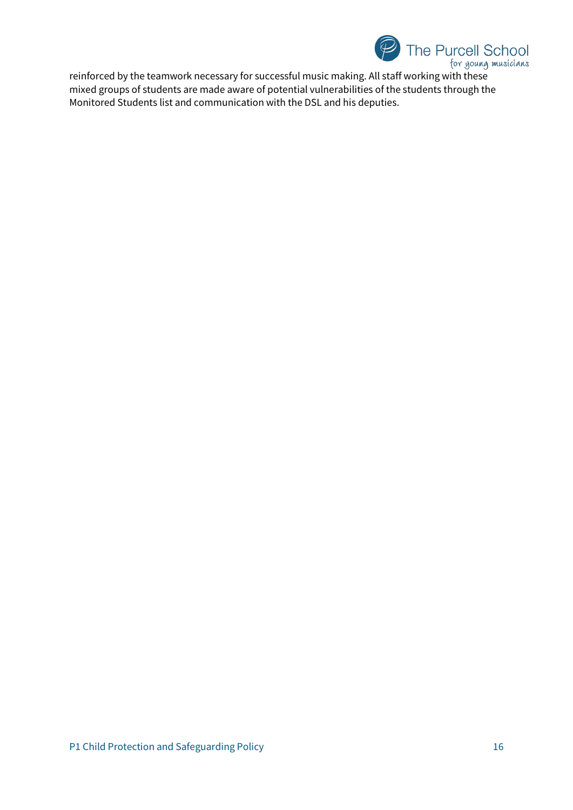

reinforced by the teamwork necessary for successful music making. All staff working with these mixed groups of students are made aware of potential vulnerabilities of the students through the Monitored Students list and communication with the DSL and his deputies.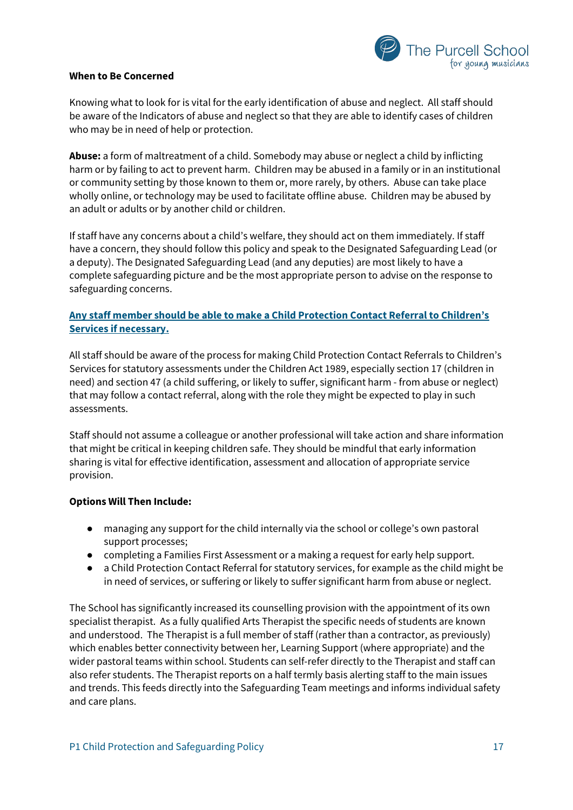

#### **When to Be Concerned**

Knowing what to look for is vital for the early identification of abuse and neglect. All staff should be aware of the Indicators of abuse and neglect so that they are able to identify cases of children who may be in need of help or protection.

**Abuse:** a form of maltreatment of a child. Somebody may abuse or neglect a child by inflicting harm or by failing to act to prevent harm. Children may be abused in a family or in an institutional or community setting by those known to them or, more rarely, by others. Abuse can take place wholly online, or technology may be used to facilitate offline abuse. Children may be abused by an adult or adults or by another child or children.

If staff have any concerns about a child's welfare, they should act on them immediately. If staff have a concern, they should follow this policy and speak to the Designated Safeguarding Lead (or a deputy). The Designated Safeguarding Lead (and any deputies) are most likely to have a complete safeguarding picture and be the most appropriate person to advise on the response to safeguarding concerns.

## **Any staff member should be able to make a Child Protection Contact Referral to Children's Services if necessary.**

All staff should be aware of the process for making Child Protection Contact Referrals to Children's Services for statutory assessments under the Children Act 1989, especially section 17 (children in need) and section 47 (a child suffering, or likely to suffer, significant harm - from abuse or neglect) that may follow a contact referral, along with the role they might be expected to play in such assessments.

Staff should not assume a colleague or another professional will take action and share information that might be critical in keeping children safe. They should be mindful that early information sharing is vital for effective identification, assessment and allocation of appropriate service provision.

## **Options Will Then Include:**

- managing any support for the child internally via the school or college's own pastoral support processes;
- completing a Families First Assessment or a making a request for early help support.
- a Child Protection Contact Referral for statutory services, for example as the child might be in need of services, or suffering or likely to suffer significant harm from abuse or neglect.

The School has significantly increased its counselling provision with the appointment of its own specialist therapist. As a fully qualified Arts Therapist the specific needs of students are known and understood. The Therapist is a full member of staff (rather than a contractor, as previously) which enables better connectivity between her, Learning Support (where appropriate) and the wider pastoral teams within school. Students can self-refer directly to the Therapist and staff can also refer students. The Therapist reports on a half termly basis alerting staff to the main issues and trends. This feeds directly into the Safeguarding Team meetings and informs individual safety and care plans.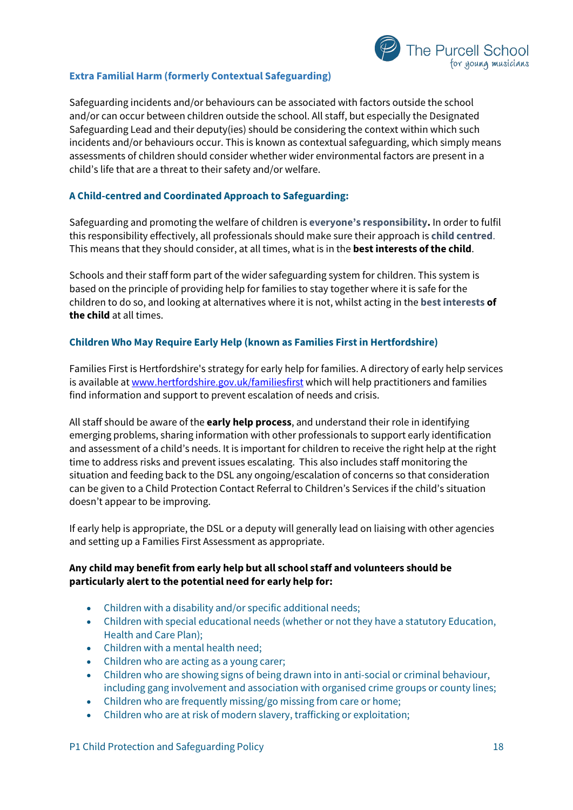# The Purcell School for young musicians

## **Extra Familial Harm (formerly Contextual Safeguarding)**

Safeguarding incidents and/or behaviours can be associated with factors outside the school and/or can occur between children outside the school. All staff, but especially the Designated Safeguarding Lead and their deputy(ies) should be considering the context within which such incidents and/or behaviours occur. This is known as contextual safeguarding, which simply means assessments of children should consider whether wider environmental factors are present in a child's life that are a threat to their safety and/or welfare.

## **A Child-centred and Coordinated Approach to Safeguarding:**

Safeguarding and promoting the welfare of children is **everyone's responsibility.** In order to fulfil this responsibility effectively, all professionals should make sure their approach is **child centred**. This means that they should consider, at all times, what is in the **best interests of the child**.

Schools and their staff form part of the wider safeguarding system for children. This system is based on the principle of providing help for families to stay together where it is safe for the children to do so, and looking at alternatives where it is not, whilst acting in the **best interests of the child** at all times.

## **Children Who May Require Early Help (known as Families First in Hertfordshire)**

Families First is Hertfordshire's strategy for early help for families. A directory of early help services is available at [www.hertfordshire.gov.uk/familiesfirst](http://www.hertfordshire.gov.uk/familiesfirst) which will help practitioners and families find information and support to prevent escalation of needs and crisis.

All staff should be aware of the **early help process**, and understand their role in identifying emerging problems, sharing information with other professionals to support early identification and assessment of a child's needs. It is important for children to receive the right help at the right time to address risks and prevent issues escalating. This also includes staff monitoring the situation and feeding back to the DSL any ongoing/escalation of concerns so that consideration can be given to a Child Protection Contact Referral to Children's Services if the child's situation doesn't appear to be improving.

If early help is appropriate, the DSL or a deputy will generally lead on liaising with other agencies and setting up a Families First Assessment as appropriate.

## **Any child may benefit from early help but all school staff and volunteers should be particularly alert to the potential need for early help for:**

- Children with a disability and/or specific additional needs;
- Children with special educational needs (whether or not they have a statutory Education, Health and Care Plan);
- Children with a mental health need;
- Children who are acting as a young carer;
- Children who are showing signs of being drawn into in anti-social or criminal behaviour, including gang involvement and association with organised crime groups or county lines;
- Children who are frequently missing/go missing from care or home;
- Children who are at risk of modern slavery, trafficking or exploitation;

P1 Child Protection and Safeguarding Policy 18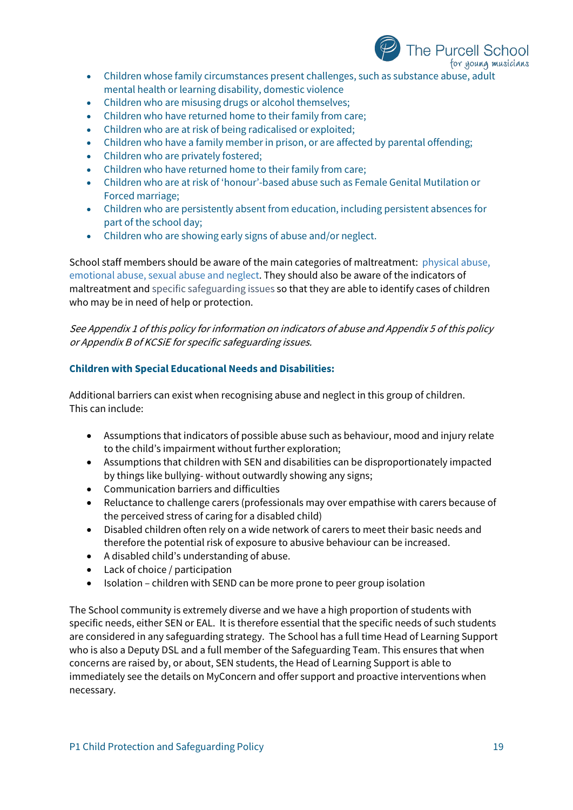

- Children whose family circumstances present challenges, such as substance abuse, adult mental health or learning disability, domestic violence
- Children who are misusing drugs or alcohol themselves;
- Children who have returned home to their family from care;
- Children who are at risk of being radicalised or exploited;
- Children who have a family member in prison, or are affected by parental offending;
- Children who are privately fostered;
- Children who have returned home to their family from care;
- Children who are at risk of 'honour'-based abuse such as Female Genital Mutilation or Forced marriage;
- Children who are persistently absent from education, including persistent absences for part of the school day;
- Children who are showing early signs of abuse and/or neglect.

School staff members should be aware of the main categories of maltreatment: physical abuse, emotional abuse, sexual abuse and neglect. They should also be aware of the indicators of maltreatment and specific safeguarding issues so that they are able to identify cases of children who may be in need of help or protection.

See Appendix 1 of this policy for information on indicators of abuse and Appendix 5 of this policy or Appendix B of KCSiE for specific safeguarding issues.

## **Children with Special Educational Needs and Disabilities:**

Additional barriers can exist when recognising abuse and neglect in this group of children. This can include:

- Assumptions that indicators of possible abuse such as behaviour, mood and injury relate to the child's impairment without further exploration;
- Assumptions that children with SEN and disabilities can be disproportionately impacted by things like bullying- without outwardly showing any signs;
- Communication barriers and difficulties
- Reluctance to challenge carers (professionals may over empathise with carers because of the perceived stress of caring for a disabled child)
- Disabled children often rely on a wide network of carers to meet their basic needs and therefore the potential risk of exposure to abusive behaviour can be increased.
- A disabled child's understanding of abuse.
- Lack of choice / participation
- Isolation children with SEND can be more prone to peer group isolation

The School community is extremely diverse and we have a high proportion of students with specific needs, either SEN or EAL. It is therefore essential that the specific needs of such students are considered in any safeguarding strategy. The School has a full time Head of Learning Support who is also a Deputy DSL and a full member of the Safeguarding Team. This ensures that when concerns are raised by, or about, SEN students, the Head of Learning Support is able to immediately see the details on MyConcern and offer support and proactive interventions when necessary.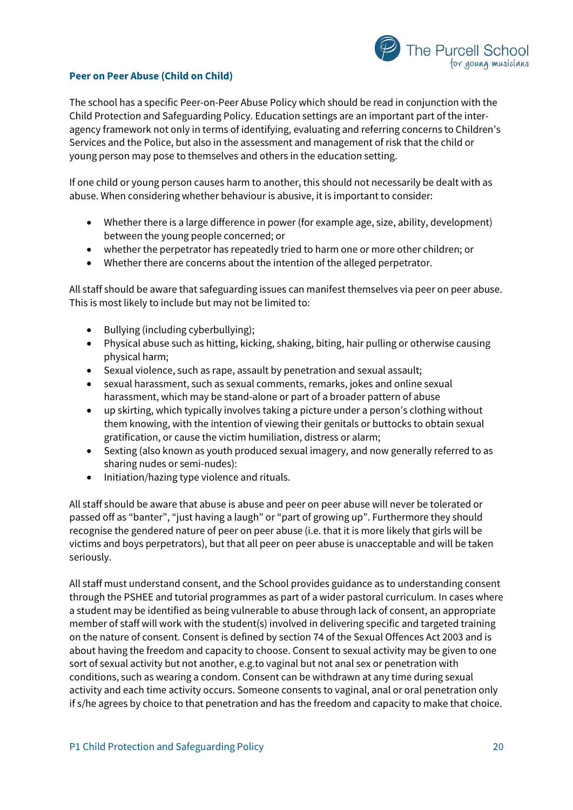

## **Peer on Peer Abuse (Child on Child)**

The school has a specific Peer-on-Peer Abuse Policy which should be read in conjunction with the Child Protection and Safeguarding Policy. Education settings are an important part of the interagency framework not only in terms of identifying, evaluating and referring concerns to Children's Services and the Police, but also in the assessment and management of risk that the child or young person may pose to themselves and others in the education setting.

If one child or young person causes harm to another, this should not necessarily be dealt with as abuse. When considering whether behaviour is abusive, it is important to consider:

- Whether there is a large difference in power (for example age, size, ability, development) between the young people concerned; or
- whether the perpetrator has repeatedly tried to harm one or more other children; or
- Whether there are concerns about the intention of the alleged perpetrator.

All staff should be aware that safeguarding issues can manifest themselves via peer on peer abuse. This is most likely to include but may not be limited to:

- Bullying (including cyberbullying);
- Physical abuse such as hitting, kicking, shaking, biting, hair pulling or otherwise causing physical harm;
- Sexual violence, such as rape, assault by penetration and sexual assault;
- sexual harassment, such as sexual comments, remarks, jokes and online sexual harassment, which may be stand-alone or part of a broader pattern of abuse
- up skirting, which typically involves taking a picture under a person's clothing without them knowing, with the intention of viewing their genitals or buttocks to obtain sexual gratification, or cause the victim humiliation, distress or alarm;
- Sexting (also known as youth produced sexual imagery, and now generally referred to as sharing nudes or semi-nudes):
- Initiation/hazing type violence and rituals.

All staff should be aware that abuse is abuse and peer on peer abuse will never be tolerated or passed off as "banter", "just having a laugh" or "part of growing up". Furthermore they should recognise the gendered nature of peer on peer abuse (i.e. that it is more likely that girls will be victims and boys perpetrators), but that all peer on peer abuse is unacceptable and will be taken seriously.

All staff must understand consent, and the School provides guidance as to understanding consent through the PSHEE and tutorial programmes as part of a wider pastoral curriculum. In cases where a student may be identified as being vulnerable to abuse through lack of consent, an appropriate member of staff will work with the student(s) involved in delivering specific and targeted training on the nature of consent. Consent is defined by section 74 of the Sexual Offences Act 2003 and is about having the freedom and capacity to choose. Consent to sexual activity may be given to one sort of sexual activity but not another, e.g.to vaginal but not anal sex or penetration with conditions, such as wearing a condom. Consent can be withdrawn at any time during sexual activity and each time activity occurs. Someone consents to vaginal, anal or oral penetration only if s/he agrees by choice to that penetration and has the freedom and capacity to make that choice.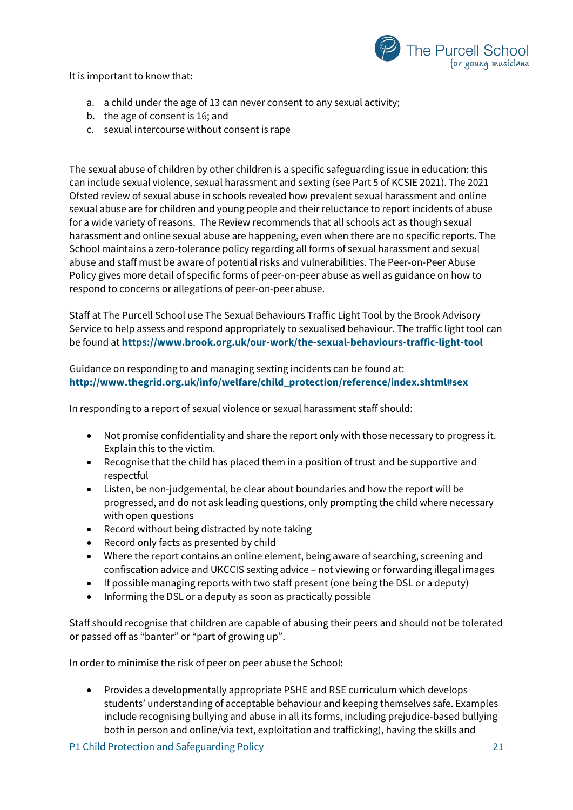It is important to know that:



- a. a child under the age of 13 can never consent to any sexual activity;
- b. the age of consent is 16; and
- c. sexual intercourse without consent is rape

The sexual abuse of children by other children is a specific safeguarding issue in education: this can include sexual violence, sexual harassment and sexting (see Part 5 of KCSIE 2021). The 2021 Ofsted review of sexual abuse in schools revealed how prevalent sexual harassment and online sexual abuse are for children and young people and their reluctance to report incidents of abuse for a wide variety of reasons. The Review recommends that all schools act as though sexual harassment and online sexual abuse are happening, even when there are no specific reports. The School maintains a zero-tolerance policy regarding all forms of sexual harassment and sexual abuse and staff must be aware of potential risks and vulnerabilities. The Peer-on-Peer Abuse Policy gives more detail of specific forms of peer-on-peer abuse as well as guidance on how to respond to concerns or allegations of peer-on-peer abuse.

Staff at The Purcell School use The Sexual Behaviours Traffic Light Tool by the Brook Advisory Service to help assess and respond appropriately to sexualised behaviour. The traffic light tool can be found at **<https://www.brook.org.uk/our-work/the-sexual-behaviours-traffic-light-tool>**

## Guidance on responding to and managing sexting incidents can be found at: **[http://www.thegrid.org.uk/info/welfare/child\\_protection/reference/index.shtml#sex](http://www.thegrid.org.uk/info/welfare/child_protection/reference/index.shtml#sex)**

In responding to a report of sexual violence or sexual harassment staff should:

- Not promise confidentiality and share the report only with those necessary to progress it. Explain this to the victim.
- Recognise that the child has placed them in a position of trust and be supportive and respectful
- Listen, be non-judgemental, be clear about boundaries and how the report will be progressed, and do not ask leading questions, only prompting the child where necessary with open questions
- Record without being distracted by note taking
- Record only facts as presented by child
- Where the report contains an online element, being aware of searching, screening and confiscation advice and UKCCIS sexting advice – not viewing or forwarding illegal images
- If possible managing reports with two staff present (one being the DSL or a deputy)
- Informing the DSL or a deputy as soon as practically possible

Staff should recognise that children are capable of abusing their peers and should not be tolerated or passed off as "banter" or "part of growing up".

In order to minimise the risk of peer on peer abuse the School:

• Provides a developmentally appropriate PSHE and RSE curriculum which develops students' understanding of acceptable behaviour and keeping themselves safe. Examples include recognising bullying and abuse in all its forms, including prejudice-based bullying both in person and online/via text, exploitation and trafficking), having the skills and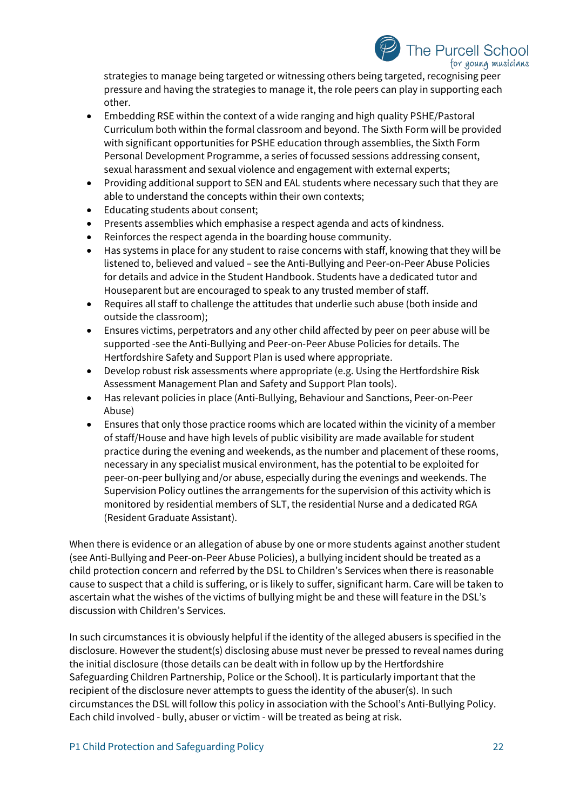## **The Purcell School** for young musicians

strategies to manage being targeted or witnessing others being targeted, recognising peer pressure and having the strategies to manage it, the role peers can play in supporting each other.

- Embedding RSE within the context of a wide ranging and high quality PSHE/Pastoral Curriculum both within the formal classroom and beyond. The Sixth Form will be provided with significant opportunities for PSHE education through assemblies, the Sixth Form Personal Development Programme, a series of focussed sessions addressing consent, sexual harassment and sexual violence and engagement with external experts;
- Providing additional support to SEN and EAL students where necessary such that they are able to understand the concepts within their own contexts;
- Educating students about consent;
- Presents assemblies which emphasise a respect agenda and acts of kindness.
- Reinforces the respect agenda in the boarding house community.
- Has systems in place for any student to raise concerns with staff, knowing that they will be listened to, believed and valued – see the Anti-Bullying and Peer-on-Peer Abuse Policies for details and advice in the Student Handbook. Students have a dedicated tutor and Houseparent but are encouraged to speak to any trusted member of staff.
- Requires all staff to challenge the attitudes that underlie such abuse (both inside and outside the classroom);
- Ensures victims, perpetrators and any other child affected by peer on peer abuse will be supported -see the Anti-Bullying and Peer-on-Peer Abuse Policies for details. The Hertfordshire Safety and Support Plan is used where appropriate.
- Develop robust risk assessments where appropriate (e.g. Using the Hertfordshire Risk Assessment Management Plan and Safety and Support Plan tools).
- Has relevant policies in place (Anti-Bullying, Behaviour and Sanctions, Peer-on-Peer Abuse)
- Ensures that only those practice rooms which are located within the vicinity of a member of staff/House and have high levels of public visibility are made available for student practice during the evening and weekends, as the number and placement of these rooms, necessary in any specialist musical environment, has the potential to be exploited for peer-on-peer bullying and/or abuse, especially during the evenings and weekends. The Supervision Policy outlines the arrangements for the supervision of this activity which is monitored by residential members of SLT, the residential Nurse and a dedicated RGA (Resident Graduate Assistant).

When there is evidence or an allegation of abuse by one or more students against another student (see Anti-Bullying and Peer-on-Peer Abuse Policies), a bullying incident should be treated as a child protection concern and referred by the DSL to Children's Services when there is reasonable cause to suspect that a child is suffering, or is likely to suffer, significant harm. Care will be taken to ascertain what the wishes of the victims of bullying might be and these will feature in the DSL's discussion with Children's Services.

In such circumstances it is obviously helpful if the identity of the alleged abusers is specified in the disclosure. However the student(s) disclosing abuse must never be pressed to reveal names during the initial disclosure (those details can be dealt with in follow up by the Hertfordshire Safeguarding Children Partnership, Police or the School). It is particularly important that the recipient of the disclosure never attempts to guess the identity of the abuser(s). In such circumstances the DSL will follow this policy in association with the School's Anti-Bullying Policy. Each child involved - bully, abuser or victim - will be treated as being at risk.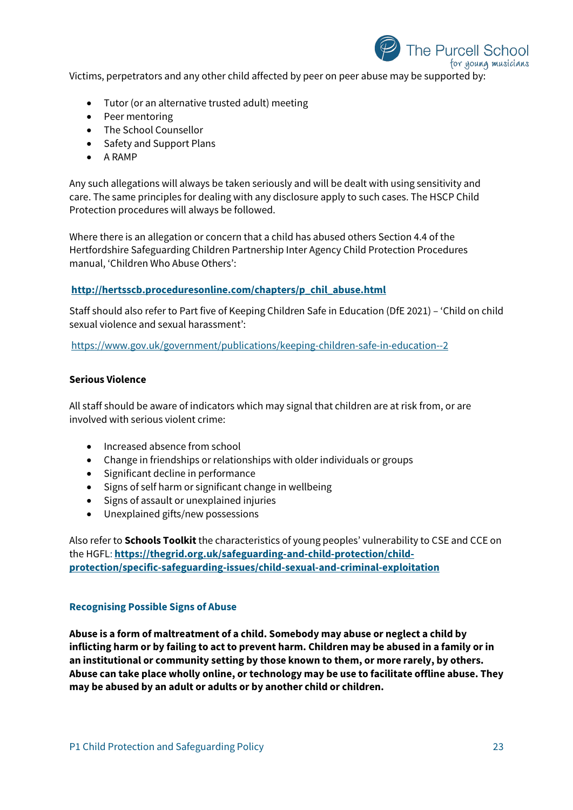

Victims, perpetrators and any other child affected by peer on peer abuse may be supported by:

- Tutor (or an alternative trusted adult) meeting
- Peer mentoring
- The School Counsellor
- Safety and Support Plans
- A RAMP

Any such allegations will always be taken seriously and will be dealt with using sensitivity and care. The same principles for dealing with any disclosure apply to such cases. The HSCP Child Protection procedures will always be followed.

Where there is an allegation or concern that a child has abused others Section 4.4 of the Hertfordshire Safeguarding Children Partnership Inter Agency Child Protection Procedures manual, 'Children Who Abuse Others':

## **[http://hertsscb.proceduresonline.com/chapters/p\\_chil\\_abuse.html](http://hertsscb.proceduresonline.com/chapters/p_chil_abuse.html)**

Staff should also refer to Part five of Keeping Children Safe in Education (DfE 2021) – 'Child on child sexual violence and sexual harassment':

<https://www.gov.uk/government/publications/keeping-children-safe-in-education--2>

#### **Serious Violence**

All staff should be aware of indicators which may signal that children are at risk from, or are involved with serious violent crime:

- Increased absence from school
- Change in friendships or relationships with older individuals or groups
- Significant decline in performance
- Signs of self harm or significant change in wellbeing
- Signs of assault or unexplained injuries
- Unexplained gifts/new possessions

Also refer to **Schools Toolkit** the characteristics of young peoples' vulnerability to CSE and CCE on the HGFL: **[https://thegrid.org.uk/safeguarding-and-child-protection/child](https://thegrid.org.uk/safeguarding-and-child-protection/child-protection/specific-safeguarding-issues/child-sexual-and-criminal-exploitation)[protection/specific-safeguarding-issues/child-sexual-and-criminal-exploitation](https://thegrid.org.uk/safeguarding-and-child-protection/child-protection/specific-safeguarding-issues/child-sexual-and-criminal-exploitation)**

#### **Recognising Possible Signs of Abuse**

**Abuse is a form of maltreatment of a child. Somebody may abuse or neglect a child by inflicting harm or by failing to act to prevent harm. Children may be abused in a family or in an institutional or community setting by those known to them, or more rarely, by others. Abuse can take place wholly online, or technology may be use to facilitate offline abuse. They may be abused by an adult or adults or by another child or children.**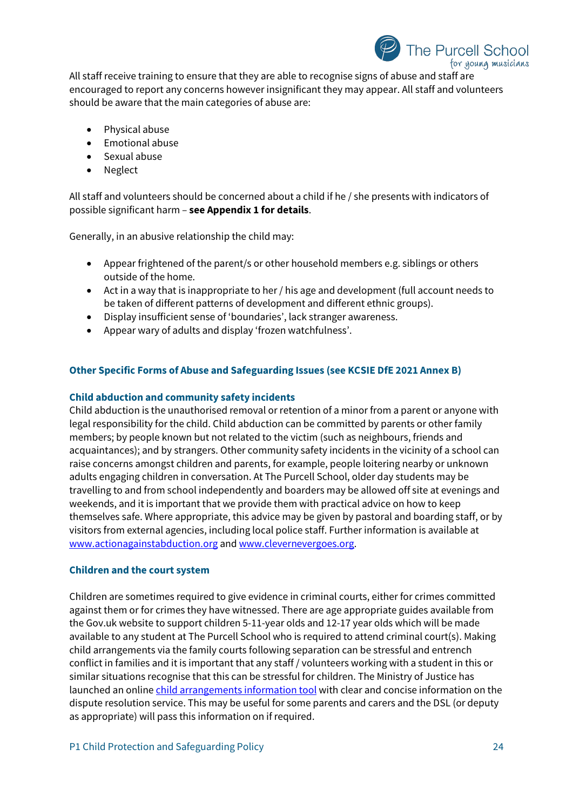

All staff receive training to ensure that they are able to recognise signs of abuse and staff are encouraged to report any concerns however insignificant they may appear. All staff and volunteers should be aware that the main categories of abuse are:

- Physical abuse
- Emotional abuse
- Sexual abuse
- Neglect

All staff and volunteers should be concerned about a child if he / she presents with indicators of possible significant harm – **see Appendix 1 for details**.

Generally, in an abusive relationship the child may:

- Appear frightened of the parent/s or other household members e.g. siblings or others outside of the home.
- Act in a way that is inappropriate to her / his age and development (full account needs to be taken of different patterns of development and different ethnic groups).
- Display insufficient sense of 'boundaries', lack stranger awareness.
- Appear wary of adults and display 'frozen watchfulness'.

## **Other Specific Forms of Abuse and Safeguarding Issues (see KCSIE DfE 2021 Annex B)**

## **Child abduction and community safety incidents**

Child abduction is the unauthorised removal or retention of a minor from a parent or anyone with legal responsibility for the child. Child abduction can be committed by parents or other family members; by people known but not related to the victim (such as neighbours, friends and acquaintances); and by strangers. Other community safety incidents in the vicinity of a school can raise concerns amongst children and parents, for example, people loitering nearby or unknown adults engaging children in conversation. At The Purcell School, older day students may be travelling to and from school independently and boarders may be allowed off site at evenings and weekends, and it is important that we provide them with practical advice on how to keep themselves safe. Where appropriate, this advice may be given by pastoral and boarding staff, or by visitors from external agencies, including local police staff. Further information is available at www.actionagainstabduction.org and www.clevernevergoes.org.

#### **Children and the court system**

Children are sometimes required to give evidence in criminal courts, either for crimes committed against them or for crimes they have witnessed. There are age appropriate guides available from the Gov.uk website to support children 5-11-year olds and 12-17 year olds which will be made available to any student at The Purcell School who is required to attend criminal court(s). Making child arrangements via the family courts following separation can be stressful and entrench conflict in families and it is important that any staff / volunteers working with a student in this or similar situations recognise that this can be stressful for children. The Ministry of Justice has launched an online [child arrangements information tool](https://helpwithchildarrangements.service.justice.gov.uk/) with clear and concise information on the dispute resolution service. This may be useful for some parents and carers and the DSL (or deputy as appropriate) will pass this information on if required.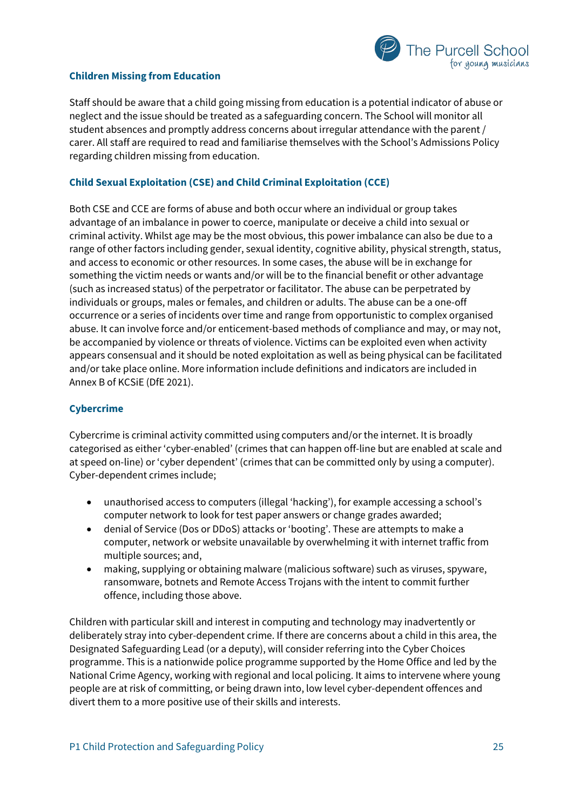

## **Children Missing from Education**

Staff should be aware that a child going missing from education is a potential indicator of abuse or neglect and the issue should be treated as a safeguarding concern. The School will monitor all student absences and promptly address concerns about irregular attendance with the parent / carer. All staff are required to read and familiarise themselves with the School's Admissions Policy regarding children missing from education.

## **Child Sexual Exploitation (CSE) and Child Criminal Exploitation (CCE)**

Both CSE and CCE are forms of abuse and both occur where an individual or group takes advantage of an imbalance in power to coerce, manipulate or deceive a child into sexual or criminal activity. Whilst age may be the most obvious, this power imbalance can also be due to a range of other factors including gender, sexual identity, cognitive ability, physical strength, status, and access to economic or other resources. In some cases, the abuse will be in exchange for something the victim needs or wants and/or will be to the financial benefit or other advantage (such as increased status) of the perpetrator or facilitator. The abuse can be perpetrated by individuals or groups, males or females, and children or adults. The abuse can be a one-off occurrence or a series of incidents over time and range from opportunistic to complex organised abuse. It can involve force and/or enticement-based methods of compliance and may, or may not, be accompanied by violence or threats of violence. Victims can be exploited even when activity appears consensual and it should be noted exploitation as well as being physical can be facilitated and/or take place online. More information include definitions and indicators are included in Annex B of KCSiE (DfE 2021).

#### **Cybercrime**

Cybercrime is criminal activity committed using computers and/or the internet. It is broadly categorised as either 'cyber-enabled' (crimes that can happen off-line but are enabled at scale and at speed on-line) or 'cyber dependent' (crimes that can be committed only by using a computer). Cyber-dependent crimes include;

- unauthorised access to computers (illegal 'hacking'), for example accessing a school's computer network to look for test paper answers or change grades awarded;
- denial of Service (Dos or DDoS) attacks or 'booting'. These are attempts to make a computer, network or website unavailable by overwhelming it with internet traffic from multiple sources; and,
- making, supplying or obtaining malware (malicious software) such as viruses, spyware, ransomware, botnets and Remote Access Trojans with the intent to commit further offence, including those above.

Children with particular skill and interest in computing and technology may inadvertently or deliberately stray into cyber-dependent crime. If there are concerns about a child in this area, the Designated Safeguarding Lead (or a deputy), will consider referring into the Cyber Choices programme. This is a nationwide police programme supported by the Home Office and led by the National Crime Agency, working with regional and local policing. It aims to intervene where young people are at risk of committing, or being drawn into, low level cyber-dependent offences and divert them to a more positive use of their skills and interests.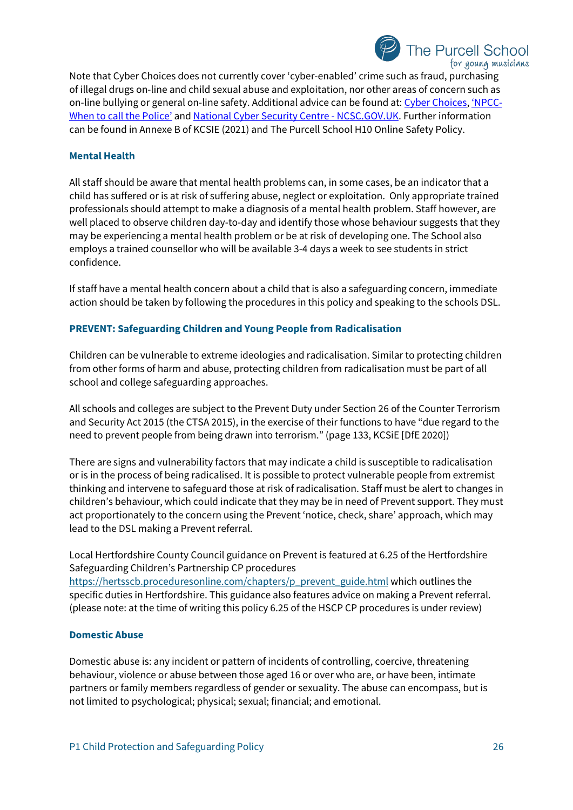

Note that Cyber Choices does not currently cover 'cyber-enabled' crime such as fraud, purchasing of illegal drugs on-line and child sexual abuse and exploitation, nor other areas of concern such as on-line bullying or general on-line safety. Additional advice can be found at: [Cyber Choices,](http://www.cyberchoices.uk/) ['NPCC-](https://www.npcc.police.uk/documents/Children%20and%20Young%20people/When%20to%20call%20the%20police%20guidance%20for%20schools%20and%20colleges.pdf)[When to call the Police'](https://www.npcc.police.uk/documents/Children%20and%20Young%20people/When%20to%20call%20the%20police%20guidance%20for%20schools%20and%20colleges.pdf) and [National Cyber Security Centre -](https://www.ncsc.gov.uk/) NCSC.GOV.UK. Further information can be found in Annexe B of KCSIE (2021) and The Purcell School H10 Online Safety Policy.

#### **Mental Health**

All staff should be aware that mental health problems can, in some cases, be an indicator that a child has suffered or is at risk of suffering abuse, neglect or exploitation. Only appropriate trained professionals should attempt to make a diagnosis of a mental health problem. Staff however, are well placed to observe children day-to-day and identify those whose behaviour suggests that they may be experiencing a mental health problem or be at risk of developing one. The School also employs a trained counsellor who will be available 3-4 days a week to see students in strict confidence.

If staff have a mental health concern about a child that is also a safeguarding concern, immediate action should be taken by following the procedures in this policy and speaking to the schools DSL.

## **PREVENT: Safeguarding Children and Young People from Radicalisation**

Children can be vulnerable to extreme ideologies and radicalisation. Similar to protecting children from other forms of harm and abuse, protecting children from radicalisation must be part of all school and college safeguarding approaches.

All schools and colleges are subject to the Prevent Duty under Section 26 of the Counter Terrorism and Security Act 2015 (the CTSA 2015), in the exercise of their functions to have "due regard to the need to prevent people from being drawn into terrorism." (page 133, KCSiE [DfE 2020])

There are signs and vulnerability factors that may indicate a child is susceptible to radicalisation or is in the process of being radicalised. It is possible to protect vulnerable people from extremist thinking and intervene to safeguard those at risk of radicalisation. Staff must be alert to changes in children's behaviour, which could indicate that they may be in need of Prevent support. They must act proportionately to the concern using the Prevent 'notice, check, share' approach, which may lead to the DSL making a Prevent referral.

Local Hertfordshire County Council guidance on Prevent is featured at 6.25 of the Hertfordshire Safeguarding Children's Partnership CP procedures [https://hertsscb.proceduresonline.com/chapters/p\\_prevent\\_guide.html](https://hertsscb.proceduresonline.com/chapters/p_prevent_guide.html) which outlines the specific duties in Hertfordshire. This guidance also features advice on making a Prevent referral. (please note: at the time of writing this policy 6.25 of the HSCP CP procedures is under review)

#### **Domestic Abuse**

Domestic abuse is: any incident or pattern of incidents of controlling, coercive, threatening behaviour, violence or abuse between those aged 16 or over who are, or have been, intimate partners or family members regardless of gender or sexuality. The abuse can encompass, but is not limited to psychological; physical; sexual; financial; and emotional.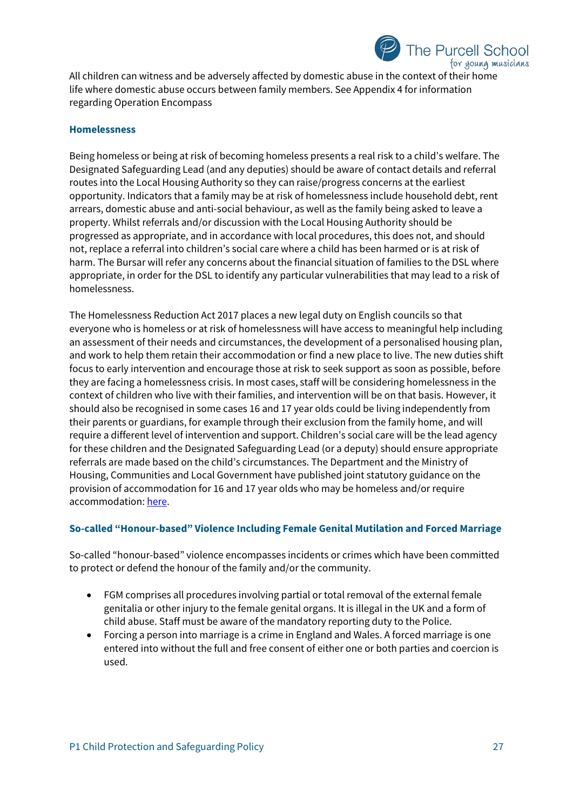

All children can witness and be adversely affected by domestic abuse in the context of their home life where domestic abuse occurs between family members. See Appendix 4 for information regarding Operation Encompass

#### **Homelessness**

Being homeless or being at risk of becoming homeless presents a real risk to a child's welfare. The Designated Safeguarding Lead (and any deputies) should be aware of contact details and referral routes into the Local Housing Authority so they can raise/progress concerns at the earliest opportunity. Indicators that a family may be at risk of homelessness include household debt, rent arrears, domestic abuse and anti-social behaviour, as well as the family being asked to leave a property. Whilst referrals and/or discussion with the Local Housing Authority should be progressed as appropriate, and in accordance with local procedures, this does not, and should not, replace a referral into children's social care where a child has been harmed or is at risk of harm. The Bursar will refer any concerns about the financial situation of families to the DSL where appropriate, in order for the DSL to identify any particular vulnerabilities that may lead to a risk of homelessness.

The Homelessness Reduction Act 2017 places a new legal duty on English councils so that everyone who is homeless or at risk of homelessness will have access to meaningful help including an assessment of their needs and circumstances, the development of a personalised housing plan, and work to help them retain their accommodation or find a new place to live. The new duties shift focus to early intervention and encourage those at risk to seek support as soon as possible, before they are facing a homelessness crisis. In most cases, staff will be considering homelessness in the context of children who live with their families, and intervention will be on that basis. However, it should also be recognised in some cases 16 and 17 year olds could be living independently from their parents or guardians, for example through their exclusion from the family home, and will require a different level of intervention and support. Children's social care will be the lead agency for these children and the Designated Safeguarding Lead (or a deputy) should ensure appropriate referrals are made based on the child's circumstances. The Department and the Ministry of Housing, Communities and Local Government have published joint statutory guidance on the provision of accommodation for 16 and 17 year olds who may be homeless and/or require accommodation[: here.](https://www.gov.uk/government/publications/homelessness-reduction-bill-policy-factsheets)

#### **So-called "Honour-based" Violence Including Female Genital Mutilation and Forced Marriage**

So-called "honour-based" violence encompasses incidents or crimes which have been committed to protect or defend the honour of the family and/or the community.

- FGM comprises all procedures involving partial or total removal of the external female genitalia or other injury to the female genital organs. It is illegal in the UK and a form of child abuse. Staff must be aware of the mandatory reporting duty to the Police.
- Forcing a person into marriage is a crime in England and Wales. A forced marriage is one entered into without the full and free consent of either one or both parties and coercion is used.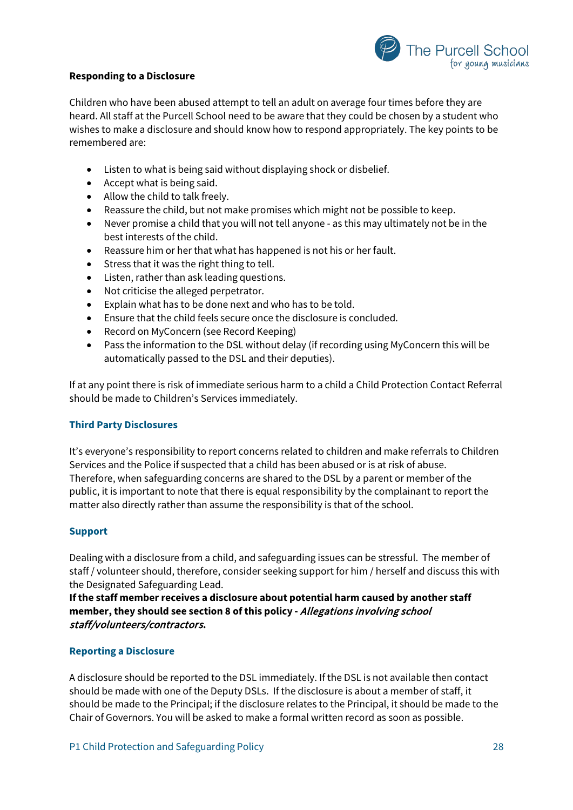

#### **Responding to a Disclosure**

Children who have been abused attempt to tell an adult on average four times before they are heard. All staff at the Purcell School need to be aware that they could be chosen by a student who wishes to make a disclosure and should know how to respond appropriately. The key points to be remembered are:

- Listen to what is being said without displaying shock or disbelief.
- Accept what is being said.
- Allow the child to talk freely.
- Reassure the child, but not make promises which might not be possible to keep.
- Never promise a child that you will not tell anyone as this may ultimately not be in the best interests of the child.
- Reassure him or her that what has happened is not his or her fault.
- Stress that it was the right thing to tell.
- Listen, rather than ask leading questions.
- Not criticise the alleged perpetrator.
- Explain what has to be done next and who has to be told.
- Ensure that the child feels secure once the disclosure is concluded.
- Record on MyConcern (see Record Keeping)
- Pass the information to the DSL without delay (if recording using MyConcern this will be automatically passed to the DSL and their deputies).

If at any point there is risk of immediate serious harm to a child a Child Protection Contact Referral should be made to Children's Services immediately.

#### **Third Party Disclosures**

It's everyone's responsibility to report concerns related to children and make referrals to Children Services and the Police if suspected that a child has been abused or is at risk of abuse. Therefore, when safeguarding concerns are shared to the DSL by a parent or member of the public, it is important to note that there is equal responsibility by the complainant to report the matter also directly rather than assume the responsibility is that of the school.

#### **Support**

Dealing with a disclosure from a child, and safeguarding issues can be stressful. The member of staff / volunteer should, therefore, consider seeking support for him / herself and discuss this with the Designated Safeguarding Lead.

**If the staff member receives a disclosure about potential harm caused by another staff member, they should see section 8 of this policy -** Allegations involving school staff/volunteers/contractors**.**

#### **Reporting a Disclosure**

A disclosure should be reported to the DSL immediately. If the DSL is not available then contact should be made with one of the Deputy DSLs. If the disclosure is about a member of staff, it should be made to the Principal; if the disclosure relates to the Principal, it should be made to the Chair of Governors. You will be asked to make a formal written record as soon as possible.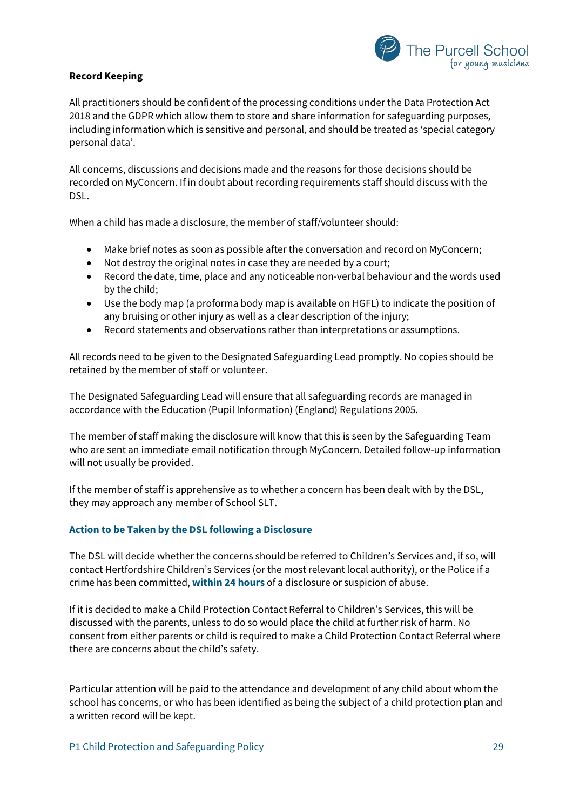

## **Record Keeping**

All practitioners should be confident of the processing conditions under the Data Protection Act 2018 and the GDPR which allow them to store and share information for safeguarding purposes, including information which is sensitive and personal, and should be treated as 'special category personal data'.

All concerns, discussions and decisions made and the reasons for those decisions should be recorded on MyConcern. If in doubt about recording requirements staff should discuss with the DSL.

When a child has made a disclosure, the member of staff/volunteer should:

- Make brief notes as soon as possible after the conversation and record on MyConcern;
- Not destroy the original notes in case they are needed by a court;
- Record the date, time, place and any noticeable non-verbal behaviour and the words used by the child;
- Use the body map (a proforma body map is available on HGFL) to indicate the position of any bruising or other injury as well as a clear description of the injury;
- Record statements and observations rather than interpretations or assumptions.

All records need to be given to the Designated Safeguarding Lead promptly. No copies should be retained by the member of staff or volunteer.

The Designated Safeguarding Lead will ensure that all safeguarding records are managed in accordance with the Education (Pupil Information) (England) Regulations 2005.

The member of staff making the disclosure will know that this is seen by the Safeguarding Team who are sent an immediate email notification through MyConcern. Detailed follow-up information will not usually be provided.

If the member of staff is apprehensive as to whether a concern has been dealt with by the DSL, they may approach any member of School SLT.

#### **Action to be Taken by the DSL following a Disclosure**

The DSL will decide whether the concerns should be referred to Children's Services and, if so, will contact Hertfordshire Children's Services (or the most relevant local authority), or the Police if a crime has been committed, **within 24 hours** of a disclosure or suspicion of abuse.

If it is decided to make a Child Protection Contact Referral to Children's Services, this will be discussed with the parents, unless to do so would place the child at further risk of harm. No consent from either parents or child is required to make a Child Protection Contact Referral where there are concerns about the child's safety.

Particular attention will be paid to the attendance and development of any child about whom the school has concerns, or who has been identified as being the subject of a child protection plan and a written record will be kept.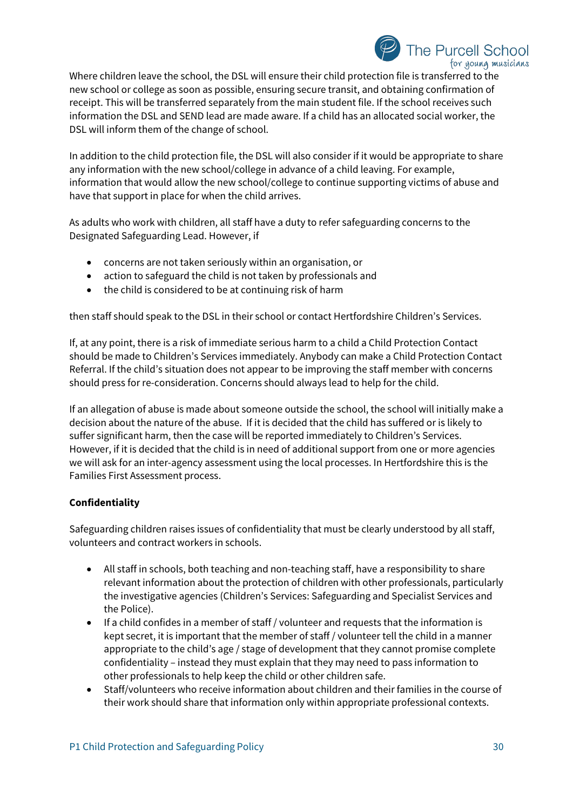

Where children leave the school, the DSL will ensure their child protection file is transferred to the new school or college as soon as possible, ensuring secure transit, and obtaining confirmation of receipt. This will be transferred separately from the main student file. If the school receives such information the DSL and SEND lead are made aware. If a child has an allocated social worker, the DSL will inform them of the change of school.

In addition to the child protection file, the DSL will also consider if it would be appropriate to share any information with the new school/college in advance of a child leaving. For example, information that would allow the new school/college to continue supporting victims of abuse and have that support in place for when the child arrives.

As adults who work with children, all staff have a duty to refer safeguarding concerns to the Designated Safeguarding Lead. However, if

- concerns are not taken seriously within an organisation, or
- action to safeguard the child is not taken by professionals and
- the child is considered to be at continuing risk of harm

then staff should speak to the DSL in their school or contact Hertfordshire Children's Services.

If, at any point, there is a risk of immediate serious harm to a child a Child Protection Contact should be made to Children's Services immediately. Anybody can make a Child Protection Contact Referral. If the child's situation does not appear to be improving the staff member with concerns should press for re-consideration. Concerns should always lead to help for the child.

If an allegation of abuse is made about someone outside the school, the school will initially make a decision about the nature of the abuse. If it is decided that the child has suffered or is likely to suffer significant harm, then the case will be reported immediately to Children's Services. However, if it is decided that the child is in need of additional support from one or more agencies we will ask for an inter-agency assessment using the local processes. In Hertfordshire this is the Families First Assessment process.

## **Confidentiality**

Safeguarding children raises issues of confidentiality that must be clearly understood by all staff, volunteers and contract workers in schools.

- All staff in schools, both teaching and non-teaching staff, have a responsibility to share relevant information about the protection of children with other professionals, particularly the investigative agencies (Children's Services: Safeguarding and Specialist Services and the Police).
- If a child confides in a member of staff / volunteer and requests that the information is kept secret, it is important that the member of staff / volunteer tell the child in a manner appropriate to the child's age / stage of development that they cannot promise complete confidentiality – instead they must explain that they may need to pass information to other professionals to help keep the child or other children safe.
- Staff/volunteers who receive information about children and their families in the course of their work should share that information only within appropriate professional contexts.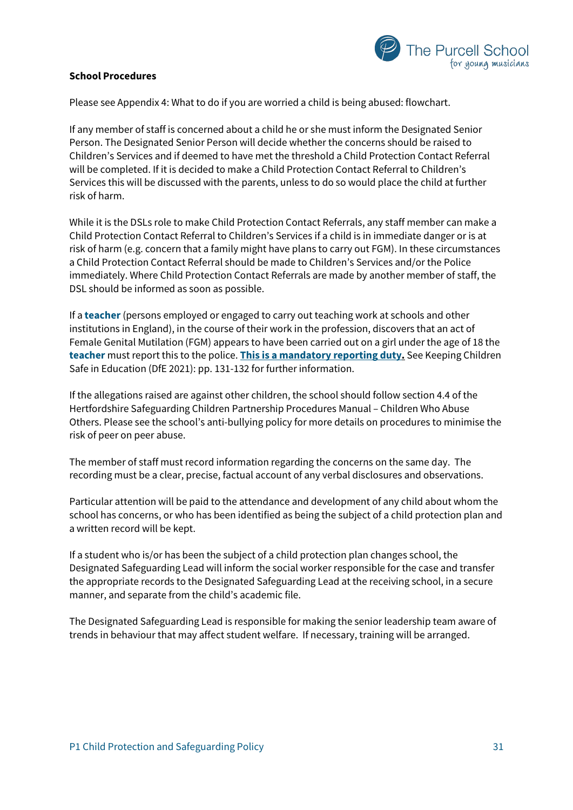

## **School Procedures**

Please see Appendix 4: What to do if you are worried a child is being abused: flowchart.

If any member of staff is concerned about a child he or she must inform the Designated Senior Person. The Designated Senior Person will decide whether the concerns should be raised to Children's Services and if deemed to have met the threshold a Child Protection Contact Referral will be completed. If it is decided to make a Child Protection Contact Referral to Children's Services this will be discussed with the parents, unless to do so would place the child at further risk of harm.

While it is the DSLs role to make Child Protection Contact Referrals, any staff member can make a Child Protection Contact Referral to Children's Services if a child is in immediate danger or is at risk of harm (e.g. concern that a family might have plans to carry out FGM). In these circumstances a Child Protection Contact Referral should be made to Children's Services and/or the Police immediately. Where Child Protection Contact Referrals are made by another member of staff, the DSL should be informed as soon as possible.

If a **teacher** (persons employed or engaged to carry out teaching work at schools and other institutions in England), in the course of their work in the profession, discovers that an act of Female Genital Mutilation (FGM) appears to have been carried out on a girl under the age of 18 the **teacher** must report this to the police. **This is a mandatory reporting duty.** See Keeping Children Safe in Education (DfE 2021): pp. 131-132 for further information.

If the allegations raised are against other children, the school should follow section 4.4 of the Hertfordshire Safeguarding Children Partnership Procedures Manual – Children Who Abuse Others. Please see the school's anti-bullying policy for more details on procedures to minimise the risk of peer on peer abuse.

The member of staff must record information regarding the concerns on the same day. The recording must be a clear, precise, factual account of any verbal disclosures and observations.

Particular attention will be paid to the attendance and development of any child about whom the school has concerns, or who has been identified as being the subject of a child protection plan and a written record will be kept.

If a student who is/or has been the subject of a child protection plan changes school, the Designated Safeguarding Lead will inform the social worker responsible for the case and transfer the appropriate records to the Designated Safeguarding Lead at the receiving school, in a secure manner, and separate from the child's academic file.

The Designated Safeguarding Lead is responsible for making the senior leadership team aware of trends in behaviour that may affect student welfare. If necessary, training will be arranged.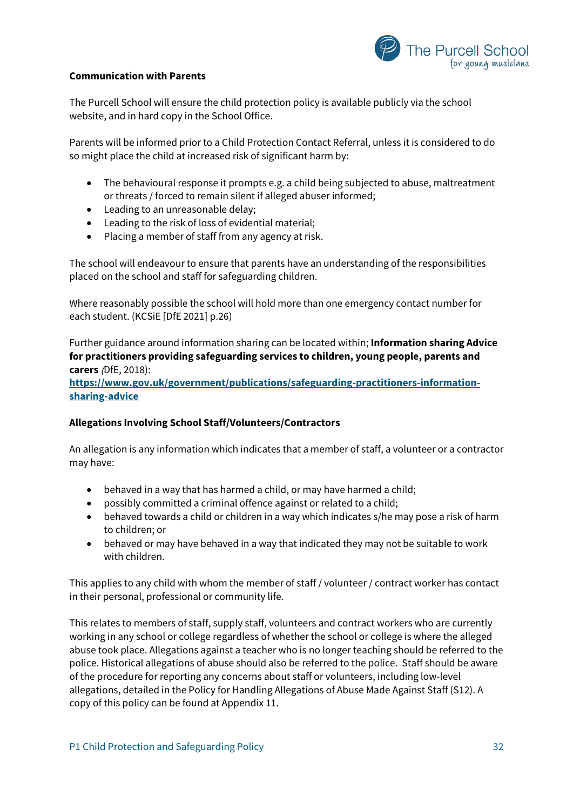

## **Communication with Parents**

The Purcell School will ensure the child protection policy is available publicly via the school website, and in hard copy in the School Office.

Parents will be informed prior to a Child Protection Contact Referral, unless it is considered to do so might place the child at increased risk of significant harm by:

- The behavioural response it prompts e.g. a child being subjected to abuse, maltreatment or threats / forced to remain silent if alleged abuser informed;
- Leading to an unreasonable delay;
- Leading to the risk of loss of evidential material;
- Placing a member of staff from any agency at risk.

The school will endeavour to ensure that parents have an understanding of the responsibilities placed on the school and staff for safeguarding children.

Where reasonably possible the school will hold more than one emergency contact number for each student. (KCSiE [DfE 2021] p.26)

Further guidance around information sharing can be located within; **Information sharing Advice for practitioners providing safeguarding services to children, young people, parents and carers** (DfE, 2018):

**[https://www.gov.uk/government/publications/safeguarding-practitioners-information](https://www.gov.uk/government/publications/safeguarding-practitioners-information-sharing-advice)[sharing-advice](https://www.gov.uk/government/publications/safeguarding-practitioners-information-sharing-advice)**

## **Allegations Involving School Staff/Volunteers/Contractors**

An allegation is any information which indicates that a member of staff, a volunteer or a contractor may have:

- behaved in a way that has harmed a child, or may have harmed a child;
- possibly committed a criminal offence against or related to a child;
- behaved towards a child or children in a way which indicates s/he may pose a risk of harm to children; or
- behaved or may have behaved in a way that indicated they may not be suitable to work with children.

This applies to any child with whom the member of staff / volunteer / contract worker has contact in their personal, professional or community life.

This relates to members of staff, supply staff, volunteers and contract workers who are currently working in any school or college regardless of whether the school or college is where the alleged abuse took place. Allegations against a teacher who is no longer teaching should be referred to the police. Historical allegations of abuse should also be referred to the police. Staff should be aware of the procedure for reporting any concerns about staff or volunteers, including low-level allegations, detailed in the Policy for Handling Allegations of Abuse Made Against Staff (S12). A copy of this policy can be found at Appendix 11.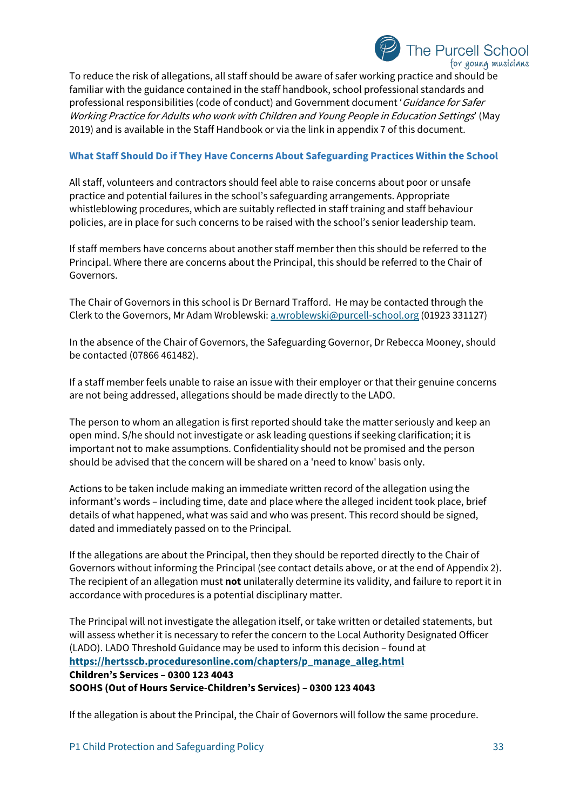# The Purcell School for young musicians

To reduce the risk of allegations, all staff should be aware of safer working practice and should be familiar with the guidance contained in the staff handbook, school professional standards and professional responsibilities (code of conduct) and Government document 'Guidance for Safer Working Practice for Adults who work with Children and Young People in Education Settings' (May 2019) and is available in the Staff Handbook or via the link in appendix 7 of this document.

## **What Staff Should Do if They Have Concerns About Safeguarding Practices Within the School**

All staff, volunteers and contractors should feel able to raise concerns about poor or unsafe practice and potential failures in the school's safeguarding arrangements. Appropriate whistleblowing procedures, which are suitably reflected in staff training and staff behaviour policies, are in place for such concerns to be raised with the school's senior leadership team.

If staff members have concerns about another staff member then this should be referred to the Principal. Where there are concerns about the Principal, this should be referred to the Chair of Governors.

The Chair of Governors in this school is Dr Bernard Trafford. He may be contacted through the Clerk to the Governors, Mr Adam Wroblewski[: a.wroblewski@purcell-school.org](mailto:a.wroblewski@purcell-school.org) (01923 331127)

In the absence of the Chair of Governors, the Safeguarding Governor, Dr Rebecca Mooney, should be contacted (07866 461482).

If a staff member feels unable to raise an issue with their employer or that their genuine concerns are not being addressed, allegations should be made directly to the LADO.

The person to whom an allegation is first reported should take the matter seriously and keep an open mind. S/he should not investigate or ask leading questions if seeking clarification; it is important not to make assumptions. Confidentiality should not be promised and the person should be advised that the concern will be shared on a 'need to know' basis only.

Actions to be taken include making an immediate written record of the allegation using the informant's words – including time, date and place where the alleged incident took place, brief details of what happened, what was said and who was present. This record should be signed, dated and immediately passed on to the Principal.

If the allegations are about the Principal, then they should be reported directly to the Chair of Governors without informing the Principal (see contact details above, or at the end of Appendix 2). The recipient of an allegation must **not** unilaterally determine its validity, and failure to report it in accordance with procedures is a potential disciplinary matter.

The Principal will not investigate the allegation itself, or take written or detailed statements, but will assess whether it is necessary to refer the concern to the Local Authority Designated Officer (LADO). LADO Threshold Guidance may be used to inform this decision – found at **[https://hertsscb.proceduresonline.com/chapters/p\\_manage\\_alleg.html](https://hertsscb.proceduresonline.com/chapters/p_manage_alleg.html) Children's Services – 0300 123 4043 SOOHS (Out of Hours Service-Children's Services) – 0300 123 4043**

If the allegation is about the Principal, the Chair of Governors will follow the same procedure.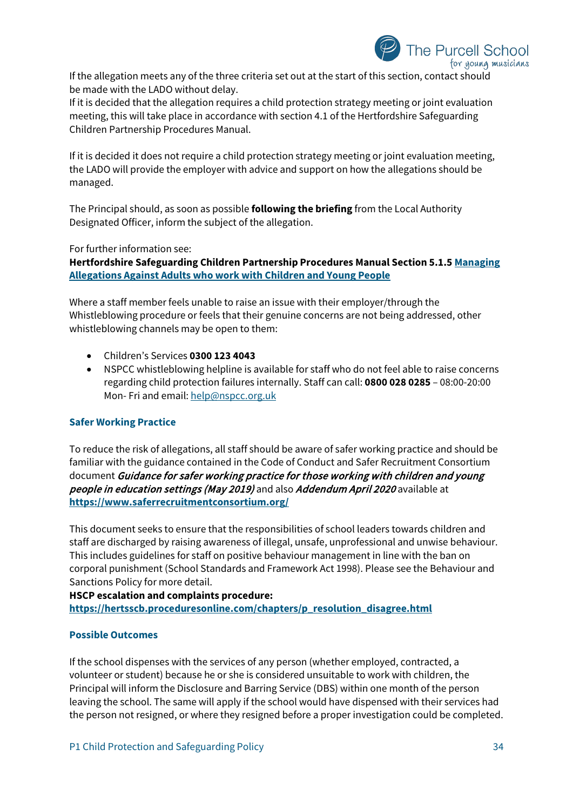

If the allegation meets any of the three criteria set out at the start of this section, contact should be made with the LADO without delay.

If it is decided that the allegation requires a child protection strategy meeting or joint evaluation meeting, this will take place in accordance with section 4.1 of the Hertfordshire Safeguarding Children Partnership Procedures Manual.

If it is decided it does not require a child protection strategy meeting or joint evaluation meeting, the LADO will provide the employer with advice and support on how the allegations should be managed.

The Principal should, as soon as possible **following the briefing** from the Local Authority Designated Officer, inform the subject of the allegation.

For further information see:

**Hertfordshire Safeguarding Children Partnership Procedures Manual Section 5.1.[5 Managing](http://www.proceduresonline.com/herts_scb/chapters/p_manage_alleg.html)  [Allegations Against Adults who work with Children and Young People](http://www.proceduresonline.com/herts_scb/chapters/p_manage_alleg.html)** 

Where a staff member feels unable to raise an issue with their employer/through the Whistleblowing procedure or feels that their genuine concerns are not being addressed, other whistleblowing channels may be open to them:

- Children's Services **0300 123 4043**
- NSPCC whistleblowing helpline is available for staff who do not feel able to raise concerns regarding child protection failures internally. Staff can call: **0800 028 0285** – 08:00-20:00 Mon- Fri and email[: help@nspcc.org.uk](mailto:help@nspcc.org.uk)

#### **Safer Working Practice**

To reduce the risk of allegations, all staff should be aware of safer working practice and should be familiar with the guidance contained in the Code of Conduct and Safer Recruitment Consortium document Guidance for safer working practice for those working with children and young people in education settings (May 2019) and also Addendum April 2020 available at **<https://www.saferrecruitmentconsortium.org/>**

This document seeks to ensure that the responsibilities of school leaders towards children and staff are discharged by raising awareness of illegal, unsafe, unprofessional and unwise behaviour. This includes guidelines for staff on positive behaviour management in line with the ban on corporal punishment (School Standards and Framework Act 1998). Please see the Behaviour and Sanctions Policy for more detail.

**HSCP escalation and complaints procedure: [https://hertsscb.proceduresonline.com/chapters/p\\_resolution\\_disagree.html](https://hertsscb.proceduresonline.com/chapters/p_resolution_disagree.html)**

## **Possible Outcomes**

If the school dispenses with the services of any person (whether employed, contracted, a volunteer or student) because he or she is considered unsuitable to work with children, the Principal will inform the Disclosure and Barring Service (DBS) within one month of the person leaving the school. The same will apply if the school would have dispensed with their services had the person not resigned, or where they resigned before a proper investigation could be completed.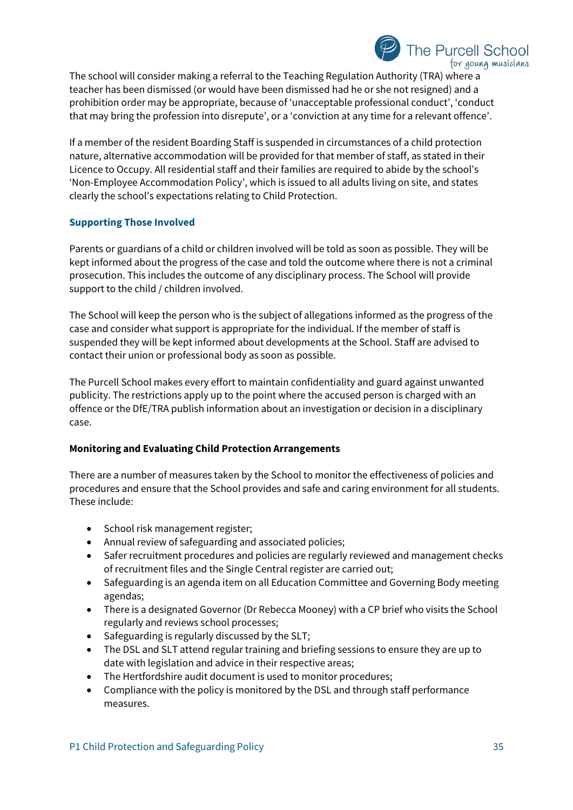

The school will consider making a referral to the Teaching Regulation Authority (TRA) where a teacher has been dismissed (or would have been dismissed had he or she not resigned) and a prohibition order may be appropriate, because of 'unacceptable professional conduct', 'conduct that may bring the profession into disrepute', or a 'conviction at any time for a relevant offence'.

If a member of the resident Boarding Staff is suspended in circumstances of a child protection nature, alternative accommodation will be provided for that member of staff, as stated in their Licence to Occupy. All residential staff and their families are required to abide by the school's 'Non-Employee Accommodation Policy', which is issued to all adults living on site, and states clearly the school's expectations relating to Child Protection.

## **Supporting Those Involved**

Parents or guardians of a child or children involved will be told as soon as possible. They will be kept informed about the progress of the case and told the outcome where there is not a criminal prosecution. This includes the outcome of any disciplinary process. The School will provide support to the child / children involved.

The School will keep the person who is the subject of allegations informed as the progress of the case and consider what support is appropriate for the individual. If the member of staff is suspended they will be kept informed about developments at the School. Staff are advised to contact their union or professional body as soon as possible.

The Purcell School makes every effort to maintain confidentiality and guard against unwanted publicity. The restrictions apply up to the point where the accused person is charged with an offence or the DfE/TRA publish information about an investigation or decision in a disciplinary case.

## **Monitoring and Evaluating Child Protection Arrangements**

There are a number of measures taken by the School to monitor the effectiveness of policies and procedures and ensure that the School provides and safe and caring environment for all students. These include:

- School risk management register;
- Annual review of safeguarding and associated policies;
- Safer recruitment procedures and policies are regularly reviewed and management checks of recruitment files and the Single Central register are carried out;
- Safeguarding is an agenda item on all Education Committee and Governing Body meeting agendas;
- There is a designated Governor (Dr Rebecca Mooney) with a CP brief who visits the School regularly and reviews school processes;
- Safeguarding is regularly discussed by the SLT;
- The DSL and SLT attend regular training and briefing sessions to ensure they are up to date with legislation and advice in their respective areas;
- The Hertfordshire audit document is used to monitor procedures;
- Compliance with the policy is monitored by the DSL and through staff performance measures.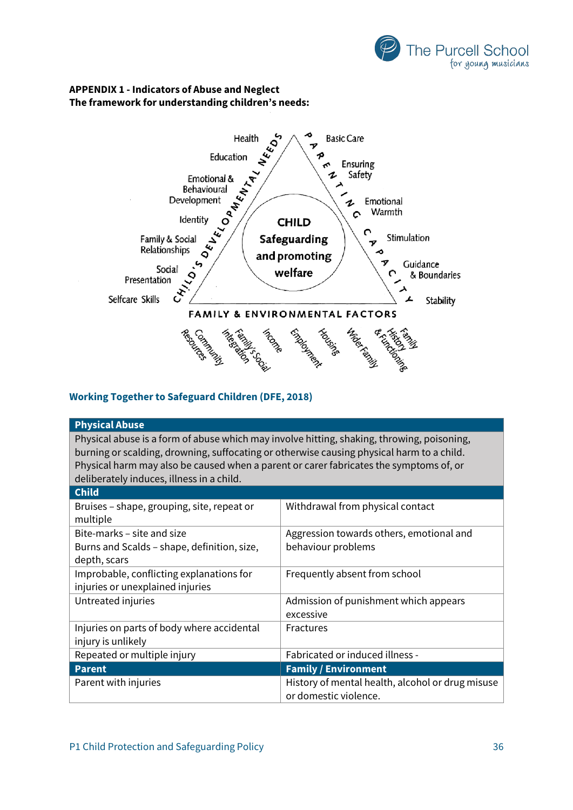

## **APPENDIX 1 - Indicators of Abuse and Neglect The framework for understanding children's needs:**



## **Working Together to Safeguard Children (DFE, 2018)**

| <b>Physical Abuse</b>                                                                      |                                                  |  |  |  |  |
|--------------------------------------------------------------------------------------------|--------------------------------------------------|--|--|--|--|
|                                                                                            |                                                  |  |  |  |  |
| Physical abuse is a form of abuse which may involve hitting, shaking, throwing, poisoning, |                                                  |  |  |  |  |
| burning or scalding, drowning, suffocating or otherwise causing physical harm to a child.  |                                                  |  |  |  |  |
| Physical harm may also be caused when a parent or carer fabricates the symptoms of, or     |                                                  |  |  |  |  |
| deliberately induces, illness in a child.                                                  |                                                  |  |  |  |  |
| <b>Child</b>                                                                               |                                                  |  |  |  |  |
| Bruises - shape, grouping, site, repeat or                                                 | Withdrawal from physical contact                 |  |  |  |  |
| multiple                                                                                   |                                                  |  |  |  |  |
| Bite-marks – site and size                                                                 | Aggression towards others, emotional and         |  |  |  |  |
|                                                                                            |                                                  |  |  |  |  |
| Burns and Scalds - shape, definition, size,                                                | behaviour problems                               |  |  |  |  |
| depth, scars                                                                               |                                                  |  |  |  |  |
| Improbable, conflicting explanations for                                                   | Frequently absent from school                    |  |  |  |  |
| injuries or unexplained injuries                                                           |                                                  |  |  |  |  |
| Untreated injuries                                                                         | Admission of punishment which appears            |  |  |  |  |
|                                                                                            | excessive                                        |  |  |  |  |
| Injuries on parts of body where accidental                                                 | Fractures                                        |  |  |  |  |
| injury is unlikely                                                                         |                                                  |  |  |  |  |
| Repeated or multiple injury                                                                | Fabricated or induced illness -                  |  |  |  |  |
| <b>Parent</b>                                                                              | <b>Family / Environment</b>                      |  |  |  |  |
| Parent with injuries                                                                       | History of mental health, alcohol or drug misuse |  |  |  |  |
|                                                                                            | or domestic violence.                            |  |  |  |  |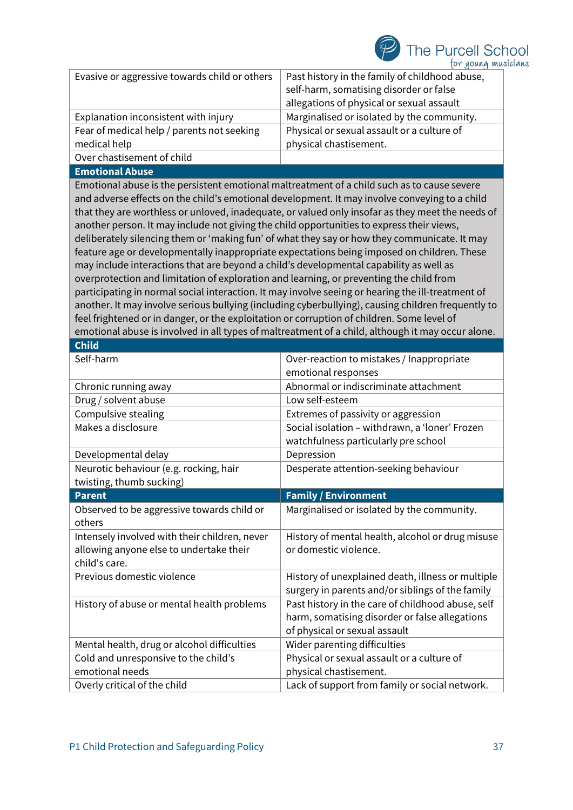

| Evasive or aggressive towards child or others                                                      | Past history in the family of childhood abuse, |  |  |  |  |
|----------------------------------------------------------------------------------------------------|------------------------------------------------|--|--|--|--|
|                                                                                                    | self-harm, somatising disorder or false        |  |  |  |  |
|                                                                                                    | allegations of physical or sexual assault      |  |  |  |  |
| Explanation inconsistent with injury                                                               | Marginalised or isolated by the community.     |  |  |  |  |
| Fear of medical help / parents not seeking                                                         | Physical or sexual assault or a culture of     |  |  |  |  |
| medical help                                                                                       | physical chastisement.                         |  |  |  |  |
| Over chastisement of child                                                                         |                                                |  |  |  |  |
| <b>Emotional Abuse</b>                                                                             |                                                |  |  |  |  |
| Emotional abuse is the persistent emotional maltreatment of a child such as to cause severe        |                                                |  |  |  |  |
| and adverse effects on the child's emotional development. It may involve conveying to a child      |                                                |  |  |  |  |
| that they are worthless or unloved, inadequate, or valued only insofar as they meet the needs of   |                                                |  |  |  |  |
| another person. It may include not giving the child opportunities to express their views,          |                                                |  |  |  |  |
| deliberately silencing them or 'making fun' of what they say or how they communicate. It may       |                                                |  |  |  |  |
| feature age or developmentally inappropriate expectations being imposed on children. These         |                                                |  |  |  |  |
| may include interactions that are beyond a child's developmental capability as well as             |                                                |  |  |  |  |
| overprotection and limitation of exploration and learning, or preventing the child from            |                                                |  |  |  |  |
| participating in normal social interaction. It may involve seeing or hearing the ill-treatment of  |                                                |  |  |  |  |
| another. It may involve serious bullying (including cyberbullying), causing children frequently to |                                                |  |  |  |  |
| feel frightened or in danger, or the exploitation or corruption of children. Some level of         |                                                |  |  |  |  |
| emotional abuse is involved in all types of maltreatment of a child, although it may occur alone.  |                                                |  |  |  |  |
| <b>Child</b>                                                                                       |                                                |  |  |  |  |
| Self-harm                                                                                          | Over-reaction to mistakes / Inappropriate      |  |  |  |  |
|                                                                                                    | emotional responses                            |  |  |  |  |
| Chronic running away                                                                               | Abnormal or indiscriminate attachment          |  |  |  |  |

|                                               | emotional responses                               |  |
|-----------------------------------------------|---------------------------------------------------|--|
| Chronic running away                          | Abnormal or indiscriminate attachment             |  |
| Drug / solvent abuse                          | Low self-esteem                                   |  |
| Compulsive stealing                           | Extremes of passivity or aggression               |  |
| Makes a disclosure                            | Social isolation - withdrawn, a 'loner' Frozen    |  |
|                                               | watchfulness particularly pre school              |  |
| Developmental delay                           | Depression                                        |  |
| Neurotic behaviour (e.g. rocking, hair        | Desperate attention-seeking behaviour             |  |
| twisting, thumb sucking)                      |                                                   |  |
| <b>Parent</b>                                 | <b>Family / Environment</b>                       |  |
| Observed to be aggressive towards child or    | Marginalised or isolated by the community.        |  |
| others                                        |                                                   |  |
| Intensely involved with their children, never | History of mental health, alcohol or drug misuse  |  |
| allowing anyone else to undertake their       | or domestic violence.                             |  |
| child's care.                                 |                                                   |  |
| Previous domestic violence                    | History of unexplained death, illness or multiple |  |
|                                               | surgery in parents and/or siblings of the family  |  |
| History of abuse or mental health problems    | Past history in the care of childhood abuse, self |  |
|                                               | harm, somatising disorder or false allegations    |  |
|                                               | of physical or sexual assault                     |  |
| Mental health, drug or alcohol difficulties   | Wider parenting difficulties                      |  |
| Cold and unresponsive to the child's          | Physical or sexual assault or a culture of        |  |
| emotional needs                               | physical chastisement.                            |  |
|                                               |                                                   |  |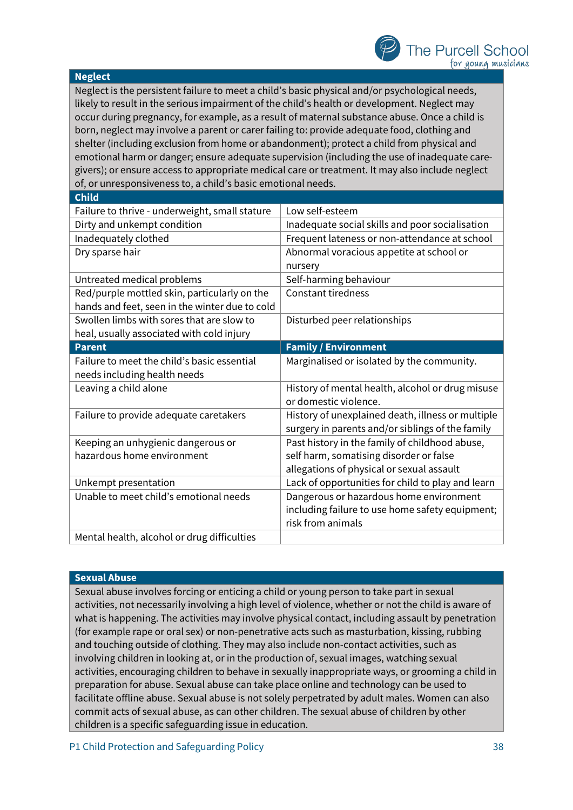#### **Neglect**

Neglect is the persistent failure to meet a child's basic physical and/or psychological needs, likely to result in the serious impairment of the child's health or development. Neglect may occur during pregnancy, for example, as a result of maternal substance abuse. Once a child is born, neglect may involve a parent or carer failing to: provide adequate food, clothing and shelter (including exclusion from home or abandonment); protect a child from physical and emotional harm or danger; ensure adequate supervision (including the use of inadequate caregivers); or ensure access to appropriate medical care or treatment. It may also include neglect of, or unresponsiveness to, a child's basic emotional needs.

| <b>Child</b>                                   |                                                   |  |
|------------------------------------------------|---------------------------------------------------|--|
| Failure to thrive - underweight, small stature | Low self-esteem                                   |  |
| Dirty and unkempt condition                    | Inadequate social skills and poor socialisation   |  |
| Inadequately clothed                           | Frequent lateness or non-attendance at school     |  |
| Dry sparse hair                                | Abnormal voracious appetite at school or          |  |
|                                                | nursery                                           |  |
| Untreated medical problems                     | Self-harming behaviour                            |  |
| Red/purple mottled skin, particularly on the   | <b>Constant tiredness</b>                         |  |
| hands and feet, seen in the winter due to cold |                                                   |  |
| Swollen limbs with sores that are slow to      | Disturbed peer relationships                      |  |
| heal, usually associated with cold injury      |                                                   |  |
| <b>Parent</b>                                  | <b>Family / Environment</b>                       |  |
| Failure to meet the child's basic essential    | Marginalised or isolated by the community.        |  |
| needs including health needs                   |                                                   |  |
|                                                |                                                   |  |
| Leaving a child alone                          | History of mental health, alcohol or drug misuse  |  |
|                                                | or domestic violence.                             |  |
| Failure to provide adequate caretakers         | History of unexplained death, illness or multiple |  |
|                                                | surgery in parents and/or siblings of the family  |  |
| Keeping an unhygienic dangerous or             | Past history in the family of childhood abuse,    |  |
| hazardous home environment                     | self harm, somatising disorder or false           |  |
|                                                | allegations of physical or sexual assault         |  |
| Unkempt presentation                           | Lack of opportunities for child to play and learn |  |
| Unable to meet child's emotional needs         | Dangerous or hazardous home environment           |  |
|                                                | including failure to use home safety equipment;   |  |
|                                                | risk from animals                                 |  |

## **Sexual Abuse**

Sexual abuse involves forcing or enticing a child or young person to take part in sexual activities, not necessarily involving a high level of violence, whether or not the child is aware of what is happening. The activities may involve physical contact, including assault by penetration (for example rape or oral sex) or non-penetrative acts such as masturbation, kissing, rubbing and touching outside of clothing. They may also include non-contact activities, such as involving children in looking at, or in the production of, sexual images, watching sexual activities, encouraging children to behave in sexually inappropriate ways, or grooming a child in preparation for abuse. Sexual abuse can take place online and technology can be used to facilitate offline abuse. Sexual abuse is not solely perpetrated by adult males. Women can also commit acts of sexual abuse, as can other children. The sexual abuse of children by other children is a specific safeguarding issue in education.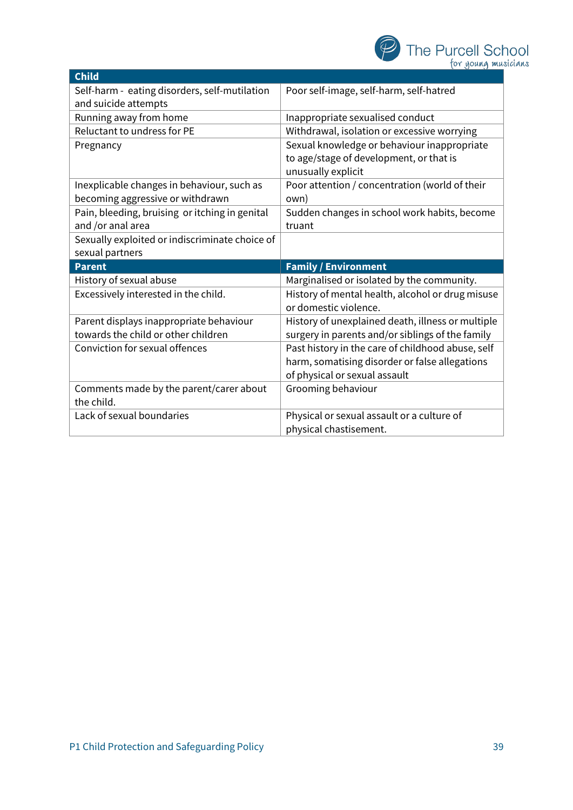

| <b>Child</b>                                   |                                                   |  |
|------------------------------------------------|---------------------------------------------------|--|
| Self-harm - eating disorders, self-mutilation  | Poor self-image, self-harm, self-hatred           |  |
| and suicide attempts                           |                                                   |  |
| Running away from home                         | Inappropriate sexualised conduct                  |  |
| Reluctant to undress for PE                    | Withdrawal, isolation or excessive worrying       |  |
| Pregnancy                                      | Sexual knowledge or behaviour inappropriate       |  |
|                                                | to age/stage of development, or that is           |  |
|                                                | unusually explicit                                |  |
| Inexplicable changes in behaviour, such as     | Poor attention / concentration (world of their    |  |
| becoming aggressive or withdrawn               | own)                                              |  |
| Pain, bleeding, bruising or itching in genital | Sudden changes in school work habits, become      |  |
| and /or anal area                              | truant                                            |  |
| Sexually exploited or indiscriminate choice of |                                                   |  |
|                                                |                                                   |  |
| sexual partners                                |                                                   |  |
| <b>Parent</b>                                  | <b>Family / Environment</b>                       |  |
| History of sexual abuse                        | Marginalised or isolated by the community.        |  |
| Excessively interested in the child.           | History of mental health, alcohol or drug misuse  |  |
|                                                | or domestic violence.                             |  |
| Parent displays inappropriate behaviour        | History of unexplained death, illness or multiple |  |
| towards the child or other children            | surgery in parents and/or siblings of the family  |  |
| <b>Conviction for sexual offences</b>          | Past history in the care of childhood abuse, self |  |
|                                                | harm, somatising disorder or false allegations    |  |
|                                                | of physical or sexual assault                     |  |
| Comments made by the parent/carer about        | Grooming behaviour                                |  |
| the child.                                     |                                                   |  |
| Lack of sexual boundaries                      | Physical or sexual assault or a culture of        |  |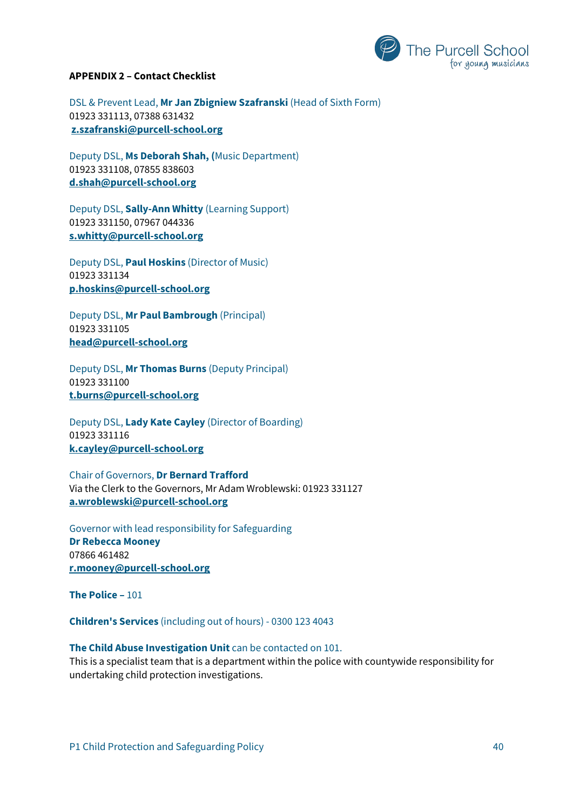

#### **APPENDIX 2 – Contact Checklist**

DSL & Prevent Lead, **Mr Jan Zbigniew Szafranski** (Head of Sixth Form) 01923 331113, 07388 631432 **[z.szafranski@purcell-school.org](mailto:z.szafranski@purcell-school.org)**

Deputy DSL, **Ms Deborah Shah, (**Music Department) 01923 331108, 07855 838603 **[d.shah@purcell-school.org](mailto:d.shah@purcell-school.org)**

Deputy DSL, **Sally-Ann Whitty** (Learning Support) 01923 331150, 07967 044336 **s.whitty@purcell-school.org**

Deputy DSL, **Paul Hoskins** (Director of Music) 01923 331134 **[p.hoskins@purcell-school.org](mailto:p.hoskins@purcell-school.org)**

Deputy DSL, **Mr Paul Bambrough** (Principal) 01923 331105 **[head@purcell-school.org](mailto:head@purcell-school.org)**

Deputy DSL, **Mr Thomas Burns** (Deputy Principal) 01923 331100 **[t.burns@purcell-school.org](mailto:t.burns@purcell-school.org)**

Deputy DSL, **Lady Kate Cayley** (Director of Boarding) 01923 331116 **[k.cayley@purcell-school.org](mailto:k.cayley@purcell-school.org)**

Chair of Governors, **Dr Bernard Trafford** Via the Clerk to the Governors, Mr Adam Wroblewski: 01923 331127 **[a.wroblewski@purcell-school.org](mailto:a.wroblewski@purcell-school.org)**

Governor with lead responsibility for Safeguarding **Dr Rebecca Mooney** 07866 461482 **[r.mooney@purcell-school.org](mailto:r.mooney@purcell-school.org)**

**The Police –** 101

**Children's Services** (including out of hours) - 0300 123 4043

## **The Child Abuse Investigation Unit** can be contacted on 101.

This is a specialist team that is a department within the police with countywide responsibility for undertaking child protection investigations.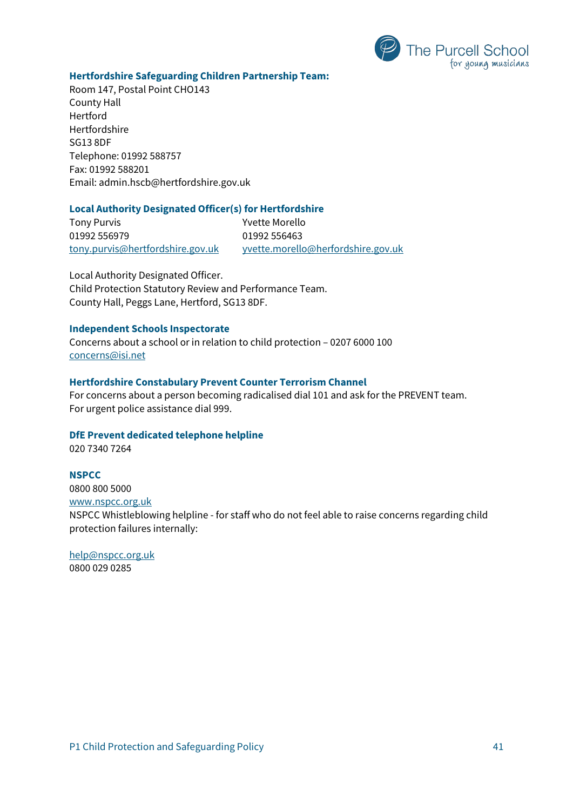

#### **Hertfordshire Safeguarding Children Partnership Team:**

Room 147, Postal Point CHO143 County Hall Hertford Hertfordshire SG13 8DF Telephone: 01992 588757 Fax: 01992 588201 Email: [admin.hscb@hertfordshire.gov.uk](mailto:admin.hscb@hertfordshire.gov.uk)

## **Local Authority Designated Officer(s) for Hertfordshire**

Tony Purvis **Tony Purvis Tony Purvis Yvette Morello** 01992 556979 01992 556463

[tony.purvis@hertfordshire.gov.uk](mailto:tony.purvis@hertfordshire.gov.uk) [yvette.morello@herfordshire.gov.uk](mailto:yvette.morello@herfordshire.gov.uk)

Local Authority Designated Officer. Child Protection Statutory Review and Performance Team. County Hall, Peggs Lane, Hertford, SG13 8DF.

#### **Independent Schools Inspectorate**

Concerns about a school or in relation to child protection – 0207 6000 100 [concerns@isi.net](mailto:concerns@isi.net)

#### **Hertfordshire Constabulary Prevent Counter Terrorism Channel**

For concerns about a person becoming radicalised dial 101 and ask for the PREVENT team. For urgent police assistance dial 999.

#### **DfE Prevent dedicated telephone helpline**

020 7340 7264

#### **NSPCC**

0800 800 5000

[www.nspcc.org.uk](http://www.nspcc.org.uk/)

NSPCC Whistleblowing helpline - for staff who do not feel able to raise concerns regarding child protection failures internally:

[help@nspcc.org.uk](mailto:help@nspcc.org.uk) 0800 029 0285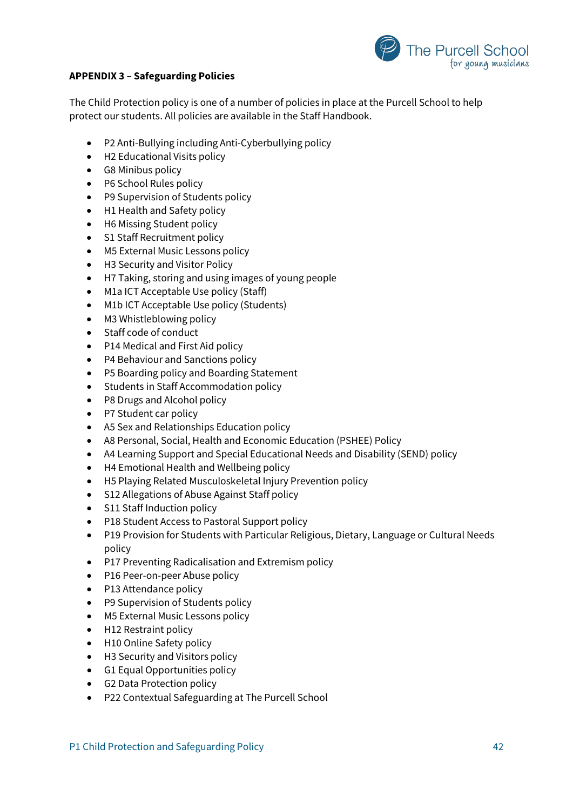

## **APPENDIX 3 – Safeguarding Policies**

The Child Protection policy is one of a number of policies in place at the Purcell School to help protect our students. All policies are available in the Staff Handbook.

- P2 Anti-Bullying including Anti-Cyberbullying policy
- H2 Educational Visits policy
- G8 Minibus policy
- P6 School Rules policy
- P9 Supervision of Students policy
- H1 Health and Safety policy
- H6 Missing Student policy
- S1 Staff Recruitment policy
- M5 External Music Lessons policy
- H3 Security and Visitor Policy
- H7 Taking, storing and using images of young people
- M1a ICT Acceptable Use policy (Staff)
- M1b ICT Acceptable Use policy (Students)
- M3 Whistleblowing policy
- Staff code of conduct
- P14 Medical and First Aid policy
- P4 Behaviour and Sanctions policy
- P5 Boarding policy and Boarding Statement
- Students in Staff Accommodation policy
- P8 Drugs and Alcohol policy
- P7 Student car policy
- A5 Sex and Relationships Education policy
- A8 Personal, Social, Health and Economic Education (PSHEE) Policy
- A4 Learning Support and Special Educational Needs and Disability (SEND) policy
- H4 Emotional Health and Wellbeing policy
- H5 Playing Related Musculoskeletal Injury Prevention policy
- S12 Allegations of Abuse Against Staff policy
- S11 Staff Induction policy
- P18 Student Access to Pastoral Support policy
- P19 Provision for Students with Particular Religious, Dietary, Language or Cultural Needs policy
- P17 Preventing Radicalisation and Extremism policy
- P16 Peer-on-peer Abuse policy
- P13 Attendance policy
- P9 Supervision of Students policy
- M5 External Music Lessons policy
- H12 Restraint policy
- H10 Online Safety policy
- H3 Security and Visitors policy
- G1 Equal Opportunities policy
- G2 Data Protection policy
- P22 Contextual Safeguarding at The Purcell School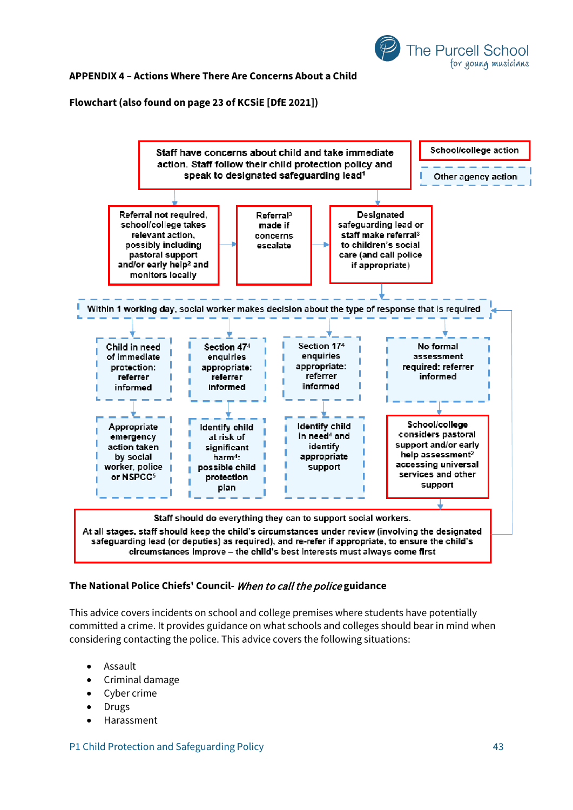

#### **APPENDIX 4 – Actions Where There Are Concerns About a Child**

#### **Flowchart (also found on page 23 of KCSiE [DfE 2021])**



#### **The National Police Chiefs' Council-** When to call the police **guidance**

This advice covers incidents on school and college premises where students have potentially committed a crime. It provides guidance on what schools and colleges should bear in mind when considering contacting the police. This advice covers the following situations:

- Assault
- Criminal damage
- Cyber crime
- **Drugs**
- Harassment

P1 Child Protection and Safeguarding Policy 43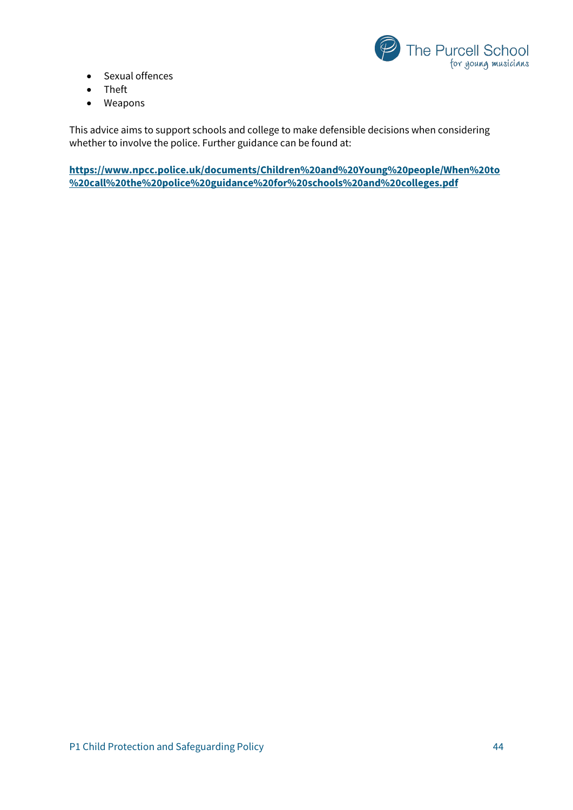

- Sexual offences
- Theft
- Weapons

This advice aims to support schools and college to make defensible decisions when considering whether to involve the police. Further guidance can be found at:

**[https://www.npcc.police.uk/documents/Children%20and%20Young%20people/When%20to](https://www.npcc.police.uk/documents/Children%20and%20Young%20people/When%20to%20call%20the%20police%20guidance%20for%20schools%20and%20colleges.pdf) [%20call%20the%20police%20guidance%20for%20schools%20and%20colleges.pdf](https://www.npcc.police.uk/documents/Children%20and%20Young%20people/When%20to%20call%20the%20police%20guidance%20for%20schools%20and%20colleges.pdf)**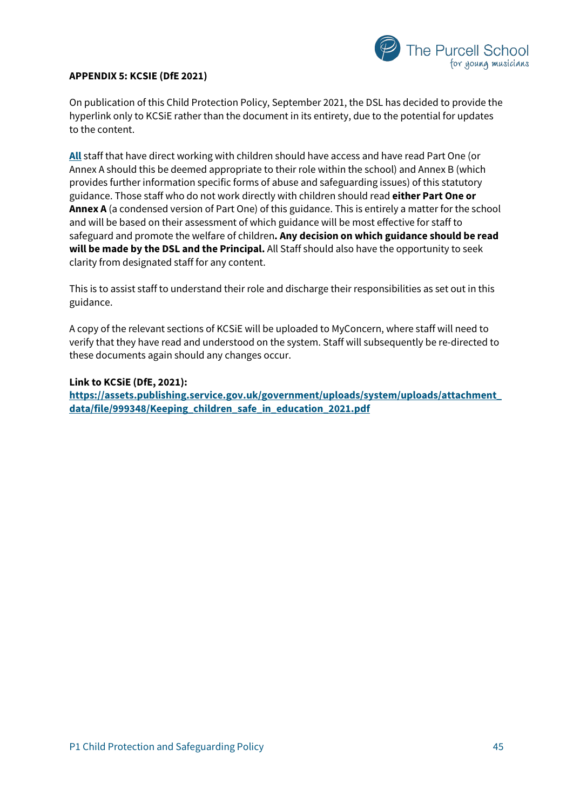

#### **APPENDIX 5: KCSIE (DfE 2021)**

On publication of this Child Protection Policy, September 2021, the DSL has decided to provide the hyperlink only to KCSiE rather than the document in its entirety, due to the potential for updates to the content.

**All** staff that have direct working with children should have access and have read Part One (or Annex A should this be deemed appropriate to their role within the school) and Annex B (which provides further information specific forms of abuse and safeguarding issues) of this statutory guidance. Those staff who do not work directly with children should read **either Part One or Annex A** (a condensed version of Part One) of this guidance. This is entirely a matter for the school and will be based on their assessment of which guidance will be most effective for staff to safeguard and promote the welfare of children**. Any decision on which guidance should be read will be made by the DSL and the Principal.** All Staff should also have the opportunity to seek clarity from designated staff for any content.

This is to assist staff to understand their role and discharge their responsibilities as set out in this guidance.

A copy of the relevant sections of KCSiE will be uploaded to MyConcern, where staff will need to verify that they have read and understood on the system. Staff will subsequently be re-directed to these documents again should any changes occur.

## **Link to KCSiE (DfE, 2021):**

**[https://assets.publishing.service.gov.uk/government/uploads/system/uploads/attachment\\_](https://assets.publishing.service.gov.uk/government/uploads/system/uploads/attachment_data/file/999348/Keeping_children_safe_in_education_2021.pdf) [data/file/999348/Keeping\\_children\\_safe\\_in\\_education\\_2021.pdf](https://assets.publishing.service.gov.uk/government/uploads/system/uploads/attachment_data/file/999348/Keeping_children_safe_in_education_2021.pdf)**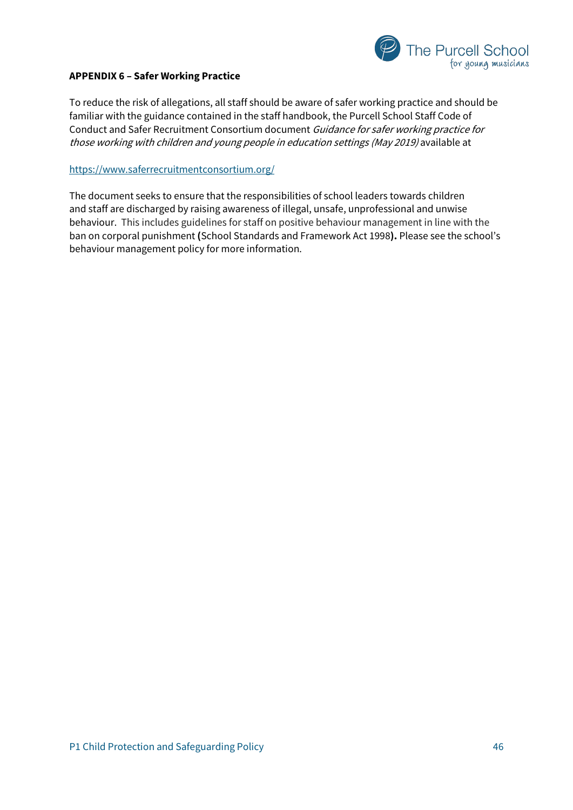

## **APPENDIX 6 – Safer Working Practice**

To reduce the risk of allegations, all staff should be aware of safer working practice and should be familiar with the guidance contained in the staff handbook, the Purcell School Staff Code of Conduct and Safer Recruitment Consortium document Guidance for safer working practice for those working with children and young people in education settings (May 2019) available at

#### <https://www.saferrecruitmentconsortium.org/>

The document seeks to ensure that the responsibilities of school leaders towards children and staff are discharged by raising awareness of illegal, unsafe, unprofessional and unwise behaviour. This includes guidelines for staff on positive behaviour management in line with the ban on corporal punishment **(**School Standards and Framework Act 1998**).** Please see the school's behaviour management policy for more information.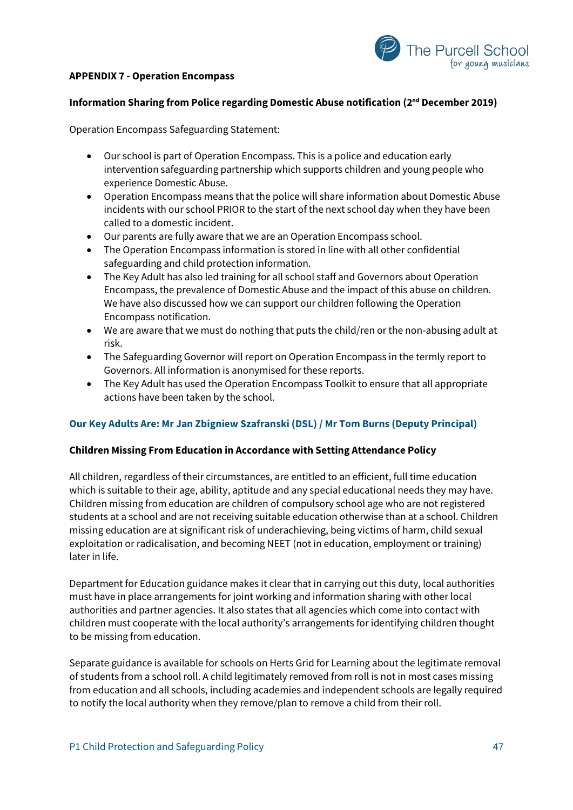



## **Information Sharing from Police regarding Domestic Abuse notification (2nd December 2019)**

Operation Encompass Safeguarding Statement:

- Our school is part of Operation Encompass. This is a police and education early intervention safeguarding partnership which supports children and young people who experience Domestic Abuse.
- Operation Encompass means that the police will share information about Domestic Abuse incidents with our school PRIOR to the start of the next school day when they have been called to a domestic incident.
- Our parents are fully aware that we are an Operation Encompass school.
- The Operation Encompass information is stored in line with all other confidential safeguarding and child protection information.
- The Key Adult has also led training for all school staff and Governors about Operation Encompass, the prevalence of Domestic Abuse and the impact of this abuse on children. We have also discussed how we can support our children following the Operation Encompass notification.
- We are aware that we must do nothing that puts the child/ren or the non-abusing adult at risk.
- The Safeguarding Governor will report on Operation Encompass in the termly report to Governors. All information is anonymised for these reports.
- The Key Adult has used the Operation Encompass Toolkit to ensure that all appropriate actions have been taken by the school.

#### **Our Key Adults Are: Mr Jan Zbigniew Szafranski (DSL) / Mr Tom Burns (Deputy Principal)**

#### **Children Missing From Education in Accordance with Setting Attendance Policy**

All children, regardless of their circumstances, are entitled to an efficient, full time education which is suitable to their age, ability, aptitude and any special educational needs they may have. Children missing from education are children of compulsory school age who are not registered students at a school and are not receiving suitable education otherwise than at a school. Children missing education are at significant risk of underachieving, being victims of harm, child sexual exploitation or radicalisation, and becoming NEET (not in education, employment or training) later in life.

Department for Education guidance makes it clear that in carrying out this duty, local authorities must have in place arrangements for joint working and information sharing with other local authorities and partner agencies. It also states that all agencies which come into contact with children must cooperate with the local authority's arrangements for identifying children thought to be missing from education.

Separate guidance is available for schools on Herts Grid for Learning about the legitimate removal of students from a school roll. A child legitimately removed from roll is not in most cases missing from education and all schools, including academies and independent schools are legally required to notify the local authority when they remove/plan to remove a child from their roll.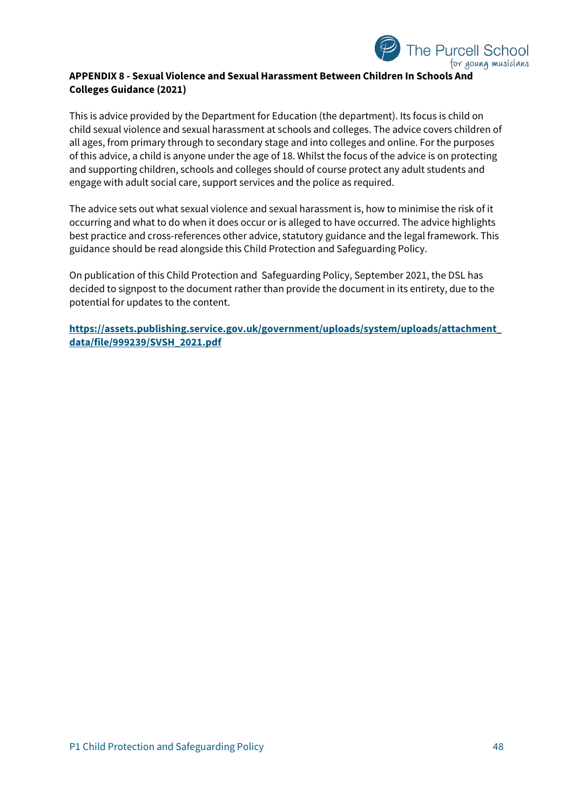

## **APPENDIX 8 - Sexual Violence and Sexual Harassment Between Children In Schools And Colleges Guidance (2021)**

This is advice provided by the Department for Education (the department). Its focus is child on child sexual violence and sexual harassment at schools and colleges. The advice covers children of all ages, from primary through to secondary stage and into colleges and online. For the purposes of this advice, a child is anyone under the age of 18. Whilst the focus of the advice is on protecting and supporting children, schools and colleges should of course protect any adult students and engage with adult social care, support services and the police as required.

The advice sets out what sexual violence and sexual harassment is, how to minimise the risk of it occurring and what to do when it does occur or is alleged to have occurred. The advice highlights best practice and cross-references other advice, statutory guidance and the legal framework. This guidance should be read alongside this Child Protection and Safeguarding Policy.

On publication of this Child Protection and Safeguarding Policy, September 2021, the DSL has decided to signpost to the document rather than provide the document in its entirety, due to the potential for updates to the content.

**[https://assets.publishing.service.gov.uk/government/uploads/system/uploads/attachment\\_](https://assets.publishing.service.gov.uk/government/uploads/system/uploads/attachment_data/file/999239/SVSH_2021.pdf) [data/file/999239/SVSH\\_2021.pdf](https://assets.publishing.service.gov.uk/government/uploads/system/uploads/attachment_data/file/999239/SVSH_2021.pdf)**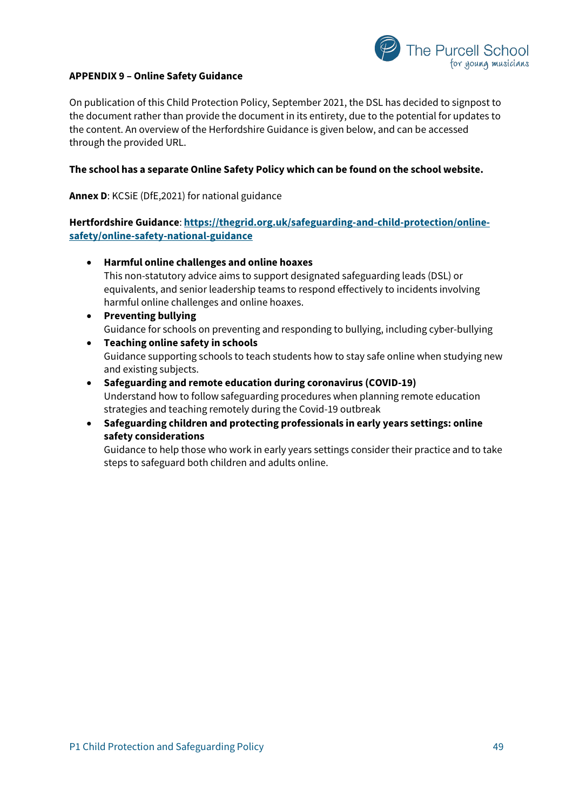

## **APPENDIX 9 – Online Safety Guidance**

On publication of this Child Protection Policy, September 2021, the DSL has decided to signpost to the document rather than provide the document in its entirety, due to the potential for updates to the content. An overview of the Herfordshire Guidance is given below, and can be accessed through the provided URL.

#### **The school has a separate Online Safety Policy which can be found on the school website.**

**Annex D**: KCSiE (DfE,2021) for national guidance

**Hertfordshire Guidance**: **[https://thegrid.org.uk/safeguarding-and-child-protection/online](https://thegrid.org.uk/safeguarding-and-child-protection/online-safety/online-safety-national-guidance)[safety/online-safety-national-guidance](https://thegrid.org.uk/safeguarding-and-child-protection/online-safety/online-safety-national-guidance)**

• **Harmful online challenges and online hoaxes**

This non-statutory advice aims to support designated safeguarding leads (DSL) or equivalents, and senior leadership teams to respond effectively to incidents involving harmful online challenges and online hoaxes.

- **Preventing bullying** Guidance for schools on preventing and responding to bullying, including cyber-bullying
- **Teaching online safety in schools** Guidance supporting schools to teach students how to stay safe online when studying new and existing subjects.
- **Safeguarding and remote education during coronavirus (COVID-19)** Understand how to follow safeguarding procedures when planning remote education strategies and teaching remotely during the Covid-19 outbreak
- **Safeguarding children and protecting professionals in early years settings: online safety considerations**

Guidance to help those who work in early years settings consider their practice and to take steps to safeguard both children and adults online.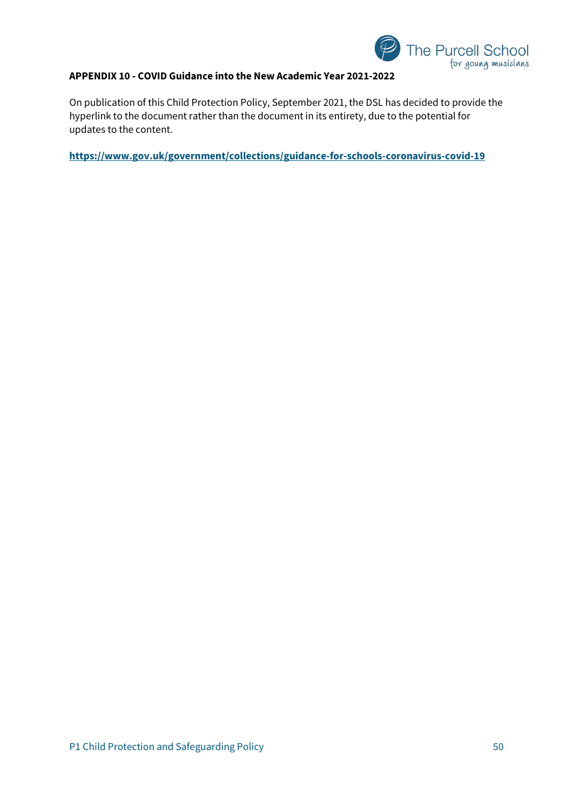

## **APPENDIX 10 - COVID Guidance into the New Academic Year 2021-2022**

On publication of this Child Protection Policy, September 2021, the DSL has decided to provide the hyperlink to the document rather than the document in its entirety, due to the potential for updates to the content.

**<https://www.gov.uk/government/collections/guidance-for-schools-coronavirus-covid-19>**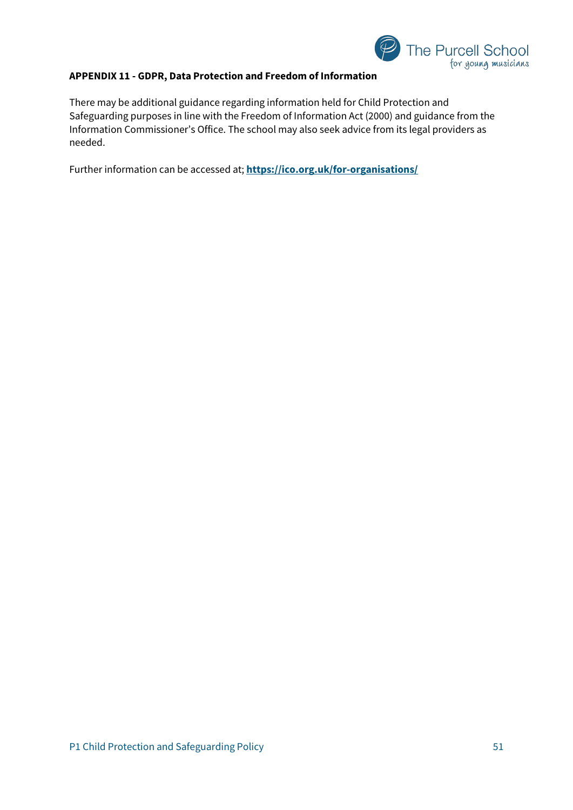

## **APPENDIX 11 - GDPR, Data Protection and Freedom of Information**

There may be additional guidance regarding information held for Child Protection and Safeguarding purposes in line with the Freedom of Information Act (2000) and guidance from the Information Commissioner's Office. The school may also seek advice from its legal providers as needed.

Further information can be accessed at; **<https://ico.org.uk/for-organisations/>**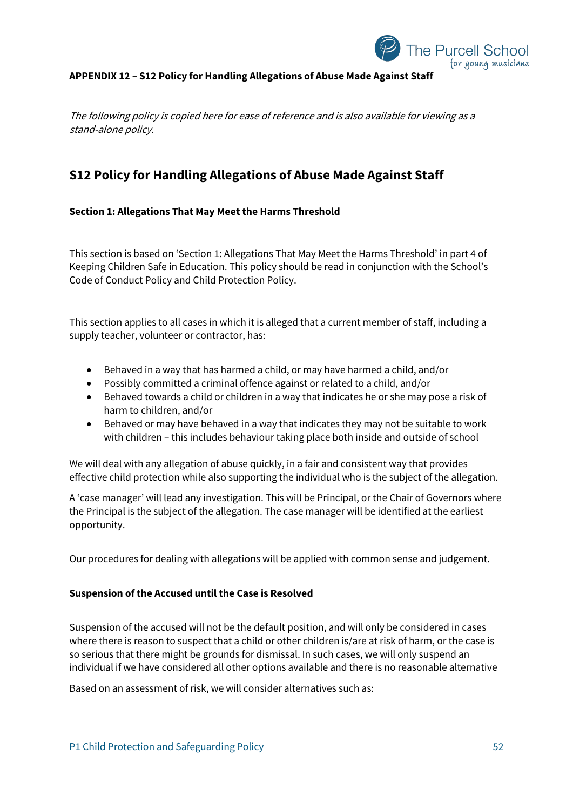

## **APPENDIX 12 – S12 Policy for Handling Allegations of Abuse Made Against Staff**

The following policy is copied here for ease of reference and is also available for viewing as a stand-alone policy.

## **S12 Policy for Handling Allegations of Abuse Made Against Staff**

## **Section 1: Allegations That May Meet the Harms Threshold**

This section is based on 'Section 1: Allegations That May Meet the Harms Threshold' in part 4 of Keeping Children Safe in Education. This policy should be read in conjunction with the School's Code of Conduct Policy and Child Protection Policy.

This section applies to all cases in which it is alleged that a current member of staff, including a supply teacher, volunteer or contractor, has:

- Behaved in a way that has harmed a child, or may have harmed a child, and/or
- Possibly committed a criminal offence against or related to a child, and/or
- Behaved towards a child or children in a way that indicates he or she may pose a risk of harm to children, and/or
- Behaved or may have behaved in a way that indicates they may not be suitable to work with children – this includes behaviour taking place both inside and outside of school

We will deal with any allegation of abuse quickly, in a fair and consistent way that provides effective child protection while also supporting the individual who is the subject of the allegation.

A 'case manager' will lead any investigation. This will be Principal, or the Chair of Governors where the Principal is the subject of the allegation. The case manager will be identified at the earliest opportunity.

Our procedures for dealing with allegations will be applied with common sense and judgement.

#### **Suspension of the Accused until the Case is Resolved**

Suspension of the accused will not be the default position, and will only be considered in cases where there is reason to suspect that a child or other children is/are at risk of harm, or the case is so serious that there might be grounds for dismissal. In such cases, we will only suspend an individual if we have considered all other options available and there is no reasonable alternative

Based on an assessment of risk, we will consider alternatives such as: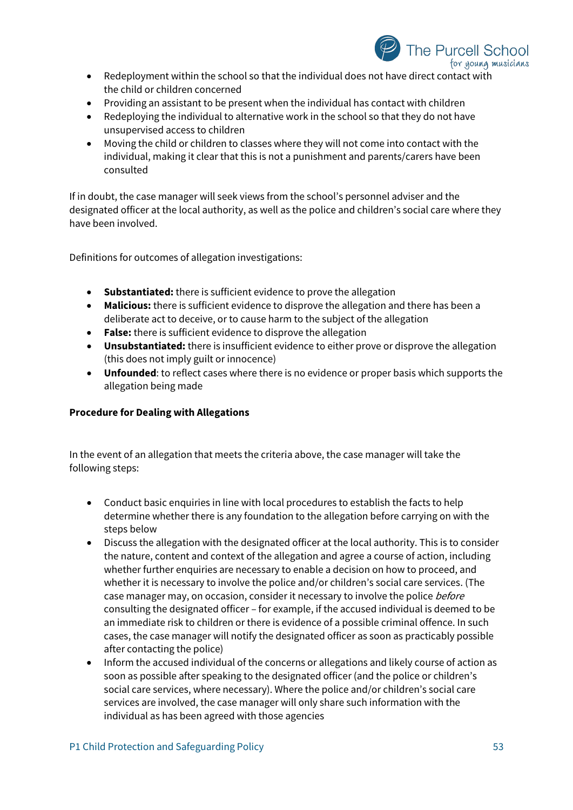

- Redeployment within the school so that the individual does not have direct contact with the child or children concerned
- Providing an assistant to be present when the individual has contact with children
- Redeploying the individual to alternative work in the school so that they do not have unsupervised access to children
- Moving the child or children to classes where they will not come into contact with the individual, making it clear that this is not a punishment and parents/carers have been consulted

If in doubt, the case manager will seek views from the school's personnel adviser and the designated officer at the local authority, as well as the police and children's social care where they have been involved.

Definitions for outcomes of allegation investigations:

- **Substantiated:** there is sufficient evidence to prove the allegation
- **Malicious:** there is sufficient evidence to disprove the allegation and there has been a deliberate act to deceive, or to cause harm to the subject of the allegation
- **False:** there is sufficient evidence to disprove the allegation
- **Unsubstantiated:** there is insufficient evidence to either prove or disprove the allegation (this does not imply guilt or innocence)
- **Unfounded**: to reflect cases where there is no evidence or proper basis which supports the allegation being made

## **Procedure for Dealing with Allegations**

In the event of an allegation that meets the criteria above, the case manager will take the following steps:

- Conduct basic enquiries in line with local procedures to establish the facts to help determine whether there is any foundation to the allegation before carrying on with the steps below
- Discuss the allegation with the designated officer at the local authority. This is to consider the nature, content and context of the allegation and agree a course of action, including whether further enquiries are necessary to enable a decision on how to proceed, and whether it is necessary to involve the police and/or children's social care services. (The case manager may, on occasion, consider it necessary to involve the police *before* consulting the designated officer – for example, if the accused individual is deemed to be an immediate risk to children or there is evidence of a possible criminal offence. In such cases, the case manager will notify the designated officer as soon as practicably possible after contacting the police)
- Inform the accused individual of the concerns or allegations and likely course of action as soon as possible after speaking to the designated officer (and the police or children's social care services, where necessary). Where the police and/or children's social care services are involved, the case manager will only share such information with the individual as has been agreed with those agencies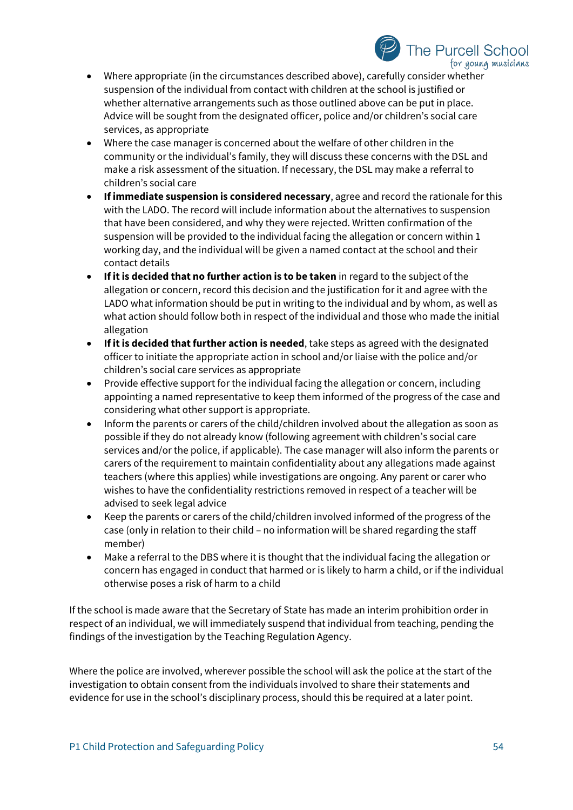

- Where appropriate (in the circumstances described above), carefully consider whether suspension of the individual from contact with children at the school is justified or whether alternative arrangements such as those outlined above can be put in place. Advice will be sought from the designated officer, police and/or children's social care services, as appropriate
- Where the case manager is concerned about the welfare of other children in the community or the individual's family, they will discuss these concerns with the DSL and make a risk assessment of the situation. If necessary, the DSL may make a referral to children's social care
- **If immediate suspension is considered necessary**, agree and record the rationale for this with the LADO. The record will include information about the alternatives to suspension that have been considered, and why they were rejected. Written confirmation of the suspension will be provided to the individual facing the allegation or concern within 1 working day, and the individual will be given a named contact at the school and their contact details
- **If it is decided that no further action is to be taken** in regard to the subject of the allegation or concern, record this decision and the justification for it and agree with the LADO what information should be put in writing to the individual and by whom, as well as what action should follow both in respect of the individual and those who made the initial allegation
- **If it is decided that further action is needed**, take steps as agreed with the designated officer to initiate the appropriate action in school and/or liaise with the police and/or children's social care services as appropriate
- Provide effective support for the individual facing the allegation or concern, including appointing a named representative to keep them informed of the progress of the case and considering what other support is appropriate.
- Inform the parents or carers of the child/children involved about the allegation as soon as possible if they do not already know (following agreement with children's social care services and/or the police, if applicable). The case manager will also inform the parents or carers of the requirement to maintain confidentiality about any allegations made against teachers (where this applies) while investigations are ongoing. Any parent or carer who wishes to have the confidentiality restrictions removed in respect of a teacher will be advised to seek legal advice
- Keep the parents or carers of the child/children involved informed of the progress of the case (only in relation to their child – no information will be shared regarding the staff member)
- Make a referral to the DBS where it is thought that the individual facing the allegation or concern has engaged in conduct that harmed or is likely to harm a child, or if the individual otherwise poses a risk of harm to a child

If the school is made aware that the Secretary of State has made an interim prohibition order in respect of an individual, we will immediately suspend that individual from teaching, pending the findings of the investigation by the Teaching Regulation Agency.

Where the police are involved, wherever possible the school will ask the police at the start of the investigation to obtain consent from the individuals involved to share their statements and evidence for use in the school's disciplinary process, should this be required at a later point.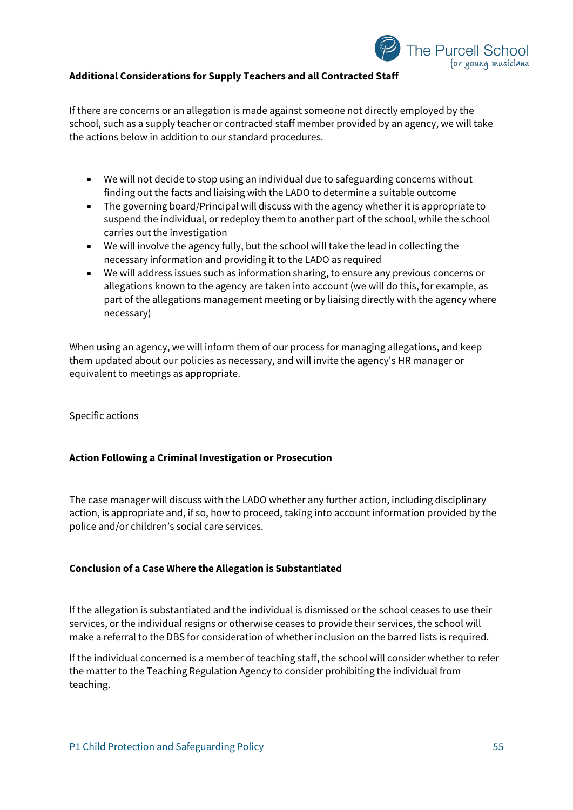

## **Additional Considerations for Supply Teachers and all Contracted Staff**

If there are concerns or an allegation is made against someone not directly employed by the school, such as a supply teacher or contracted staff member provided by an agency, we will take the actions below in addition to our standard procedures.

- We will not decide to stop using an individual due to safeguarding concerns without finding out the facts and liaising with the LADO to determine a suitable outcome
- The governing board/Principal will discuss with the agency whether it is appropriate to suspend the individual, or redeploy them to another part of the school, while the school carries out the investigation
- We will involve the agency fully, but the school will take the lead in collecting the necessary information and providing it to the LADO as required
- We will address issues such as information sharing, to ensure any previous concerns or allegations known to the agency are taken into account (we will do this, for example, as part of the allegations management meeting or by liaising directly with the agency where necessary)

When using an agency, we will inform them of our process for managing allegations, and keep them updated about our policies as necessary, and will invite the agency's HR manager or equivalent to meetings as appropriate.

Specific actions

#### **Action Following a Criminal Investigation or Prosecution**

The case manager will discuss with the LADO whether any further action, including disciplinary action, is appropriate and, if so, how to proceed, taking into account information provided by the police and/or children's social care services.

#### **Conclusion of a Case Where the Allegation is Substantiated**

If the allegation is substantiated and the individual is dismissed or the school ceases to use their services, or the individual resigns or otherwise ceases to provide their services, the school will make a referral to the DBS for consideration of whether inclusion on the barred lists is required.

If the individual concerned is a member of teaching staff, the school will consider whether to refer the matter to the Teaching Regulation Agency to consider prohibiting the individual from teaching.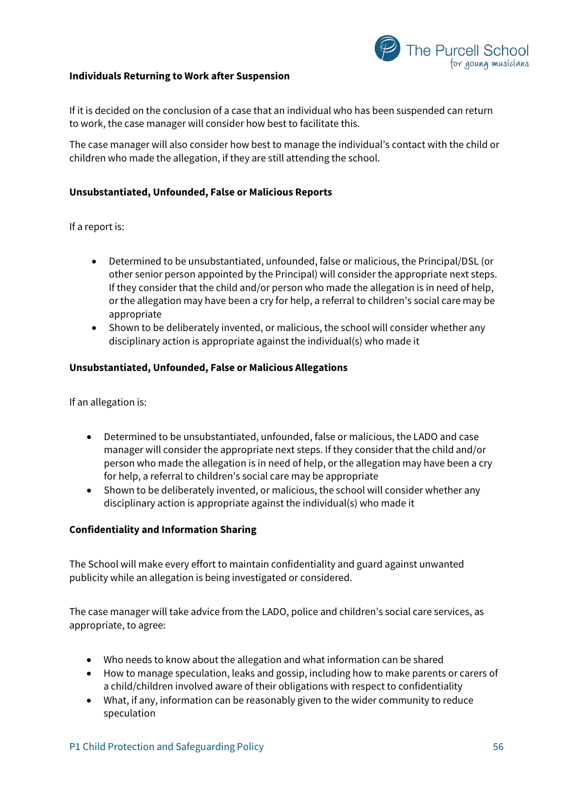

#### **Individuals Returning to Work after Suspension**

If it is decided on the conclusion of a case that an individual who has been suspended can return to work, the case manager will consider how best to facilitate this.

The case manager will also consider how best to manage the individual's contact with the child or children who made the allegation, if they are still attending the school.

## **Unsubstantiated, Unfounded, False or Malicious Reports**

If a report is:

- Determined to be unsubstantiated, unfounded, false or malicious, the Principal/DSL (or other senior person appointed by the Principal) will consider the appropriate next steps. If they consider that the child and/or person who made the allegation is in need of help, or the allegation may have been a cry for help, a referral to children's social care may be appropriate
- Shown to be deliberately invented, or malicious, the school will consider whether any disciplinary action is appropriate against the individual(s) who made it

#### **Unsubstantiated, Unfounded, False or Malicious Allegations**

If an allegation is:

- Determined to be unsubstantiated, unfounded, false or malicious, the LADO and case manager will consider the appropriate next steps. If they consider that the child and/or person who made the allegation is in need of help, or the allegation may have been a cry for help, a referral to children's social care may be appropriate
- Shown to be deliberately invented, or malicious, the school will consider whether any disciplinary action is appropriate against the individual(s) who made it

#### **Confidentiality and Information Sharing**

The School will make every effort to maintain confidentiality and guard against unwanted publicity while an allegation is being investigated or considered.

The case manager will take advice from the LADO, police and children's social care services, as appropriate, to agree:

- Who needs to know about the allegation and what information can be shared
- How to manage speculation, leaks and gossip, including how to make parents or carers of a child/children involved aware of their obligations with respect to confidentiality
- What, if any, information can be reasonably given to the wider community to reduce speculation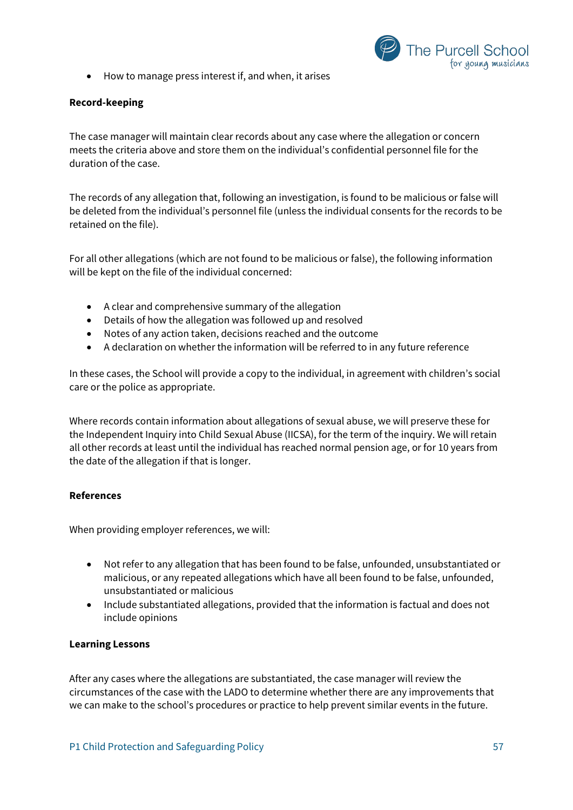- The Purcell School for young musicians
- How to manage press interest if, and when, it arises

## **Record-keeping**

The case manager will maintain clear records about any case where the allegation or concern meets the criteria above and store them on the individual's confidential personnel file for the duration of the case.

The records of any allegation that, following an investigation, is found to be malicious or false will be deleted from the individual's personnel file (unless the individual consents for the records to be retained on the file).

For all other allegations (which are not found to be malicious or false), the following information will be kept on the file of the individual concerned:

- A clear and comprehensive summary of the allegation
- Details of how the allegation was followed up and resolved
- Notes of any action taken, decisions reached and the outcome
- A declaration on whether the information will be referred to in any future reference

In these cases, the School will provide a copy to the individual, in agreement with children's social care or the police as appropriate.

Where records contain information about allegations of sexual abuse, we will preserve these for the Independent Inquiry into Child Sexual Abuse (IICSA), for the term of the inquiry. We will retain all other records at least until the individual has reached normal pension age, or for 10 years from the date of the allegation if that is longer.

## **References**

When providing employer references, we will:

- Not refer to any allegation that has been found to be false, unfounded, unsubstantiated or malicious, or any repeated allegations which have all been found to be false, unfounded, unsubstantiated or malicious
- Include substantiated allegations, provided that the information is factual and does not include opinions

#### **Learning Lessons**

After any cases where the allegations are substantiated, the case manager will review the circumstances of the case with the LADO to determine whether there are any improvements that we can make to the school's procedures or practice to help prevent similar events in the future.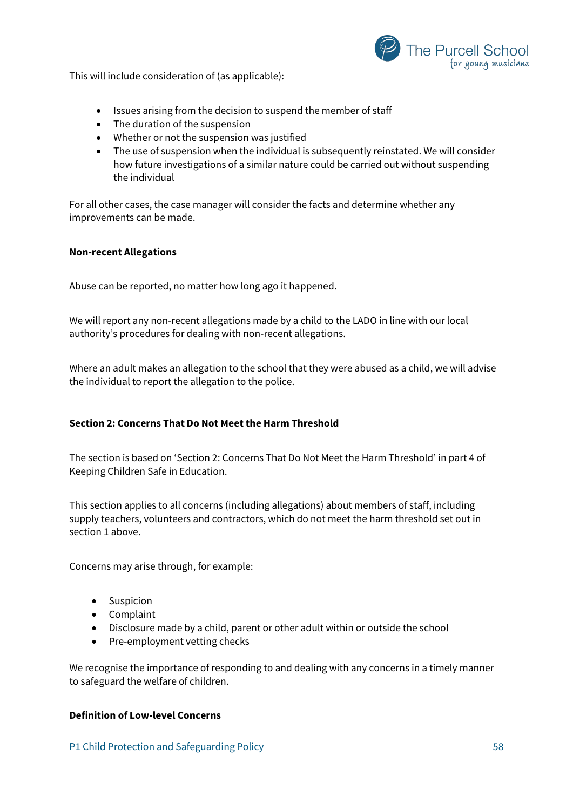

This will include consideration of (as applicable):

- Issues arising from the decision to suspend the member of staff
- The duration of the suspension
- Whether or not the suspension was justified
- The use of suspension when the individual is subsequently reinstated. We will consider how future investigations of a similar nature could be carried out without suspending the individual

For all other cases, the case manager will consider the facts and determine whether any improvements can be made.

#### **Non-recent Allegations**

Abuse can be reported, no matter how long ago it happened.

We will report any non-recent allegations made by a child to the LADO in line with our local authority's procedures for dealing with non-recent allegations.

Where an adult makes an allegation to the school that they were abused as a child, we will advise the individual to report the allegation to the police.

## **Section 2: Concerns That Do Not Meet the Harm Threshold**

The section is based on 'Section 2: Concerns That Do Not Meet the Harm Threshold' in part 4 of Keeping Children Safe in Education.

This section applies to all concerns (including allegations) about members of staff, including supply teachers, volunteers and contractors, which do not meet the harm threshold set out in section 1 above.

Concerns may arise through, for example:

- Suspicion
- Complaint
- Disclosure made by a child, parent or other adult within or outside the school
- Pre-employment vetting checks

We recognise the importance of responding to and dealing with any concerns in a timely manner to safeguard the welfare of children.

#### **Definition of Low-level Concerns**

P1 Child Protection and Safeguarding Policy 58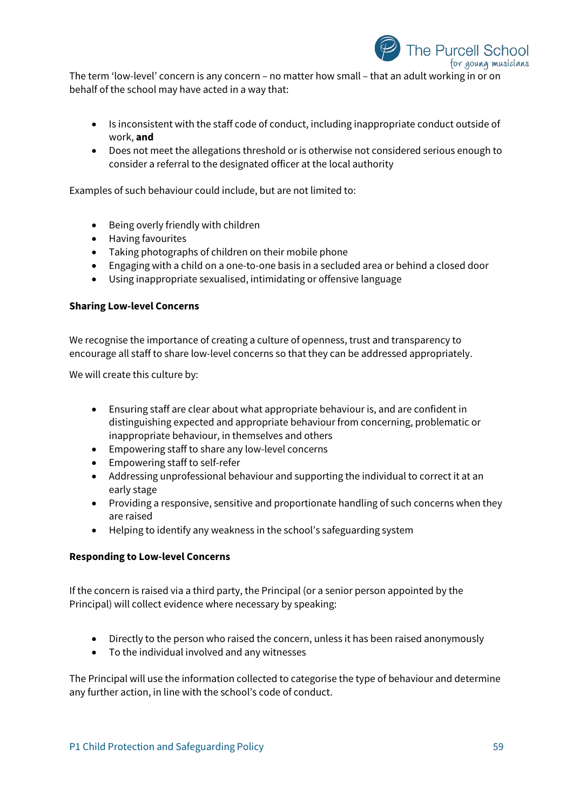

The term 'low-level' concern is any concern – no matter how small – that an adult working in or on behalf of the school may have acted in a way that:

- Is inconsistent with the staff code of conduct, including inappropriate conduct outside of work, **and**
- Does not meet the allegations threshold or is otherwise not considered serious enough to consider a referral to the designated officer at the local authority

Examples of such behaviour could include, but are not limited to:

- Being overly friendly with children
- Having favourites
- Taking photographs of children on their mobile phone
- Engaging with a child on a one-to-one basis in a secluded area or behind a closed door
- Using inappropriate sexualised, intimidating or offensive language

## **Sharing Low-level Concerns**

We recognise the importance of creating a culture of openness, trust and transparency to encourage all staff to share low-level concerns so that they can be addressed appropriately.

We will create this culture by:

- Ensuring staff are clear about what appropriate behaviour is, and are confident in distinguishing expected and appropriate behaviour from concerning, problematic or inappropriate behaviour, in themselves and others
- Empowering staff to share any low-level concerns
- Empowering staff to self-refer
- Addressing unprofessional behaviour and supporting the individual to correct it at an early stage
- Providing a responsive, sensitive and proportionate handling of such concerns when they are raised
- Helping to identify any weakness in the school's safeguarding system

## **Responding to Low-level Concerns**

If the concern is raised via a third party, the Principal (or a senior person appointed by the Principal) will collect evidence where necessary by speaking:

- Directly to the person who raised the concern, unless it has been raised anonymously
- To the individual involved and any witnesses

The Principal will use the information collected to categorise the type of behaviour and determine any further action, in line with the school's code of conduct.